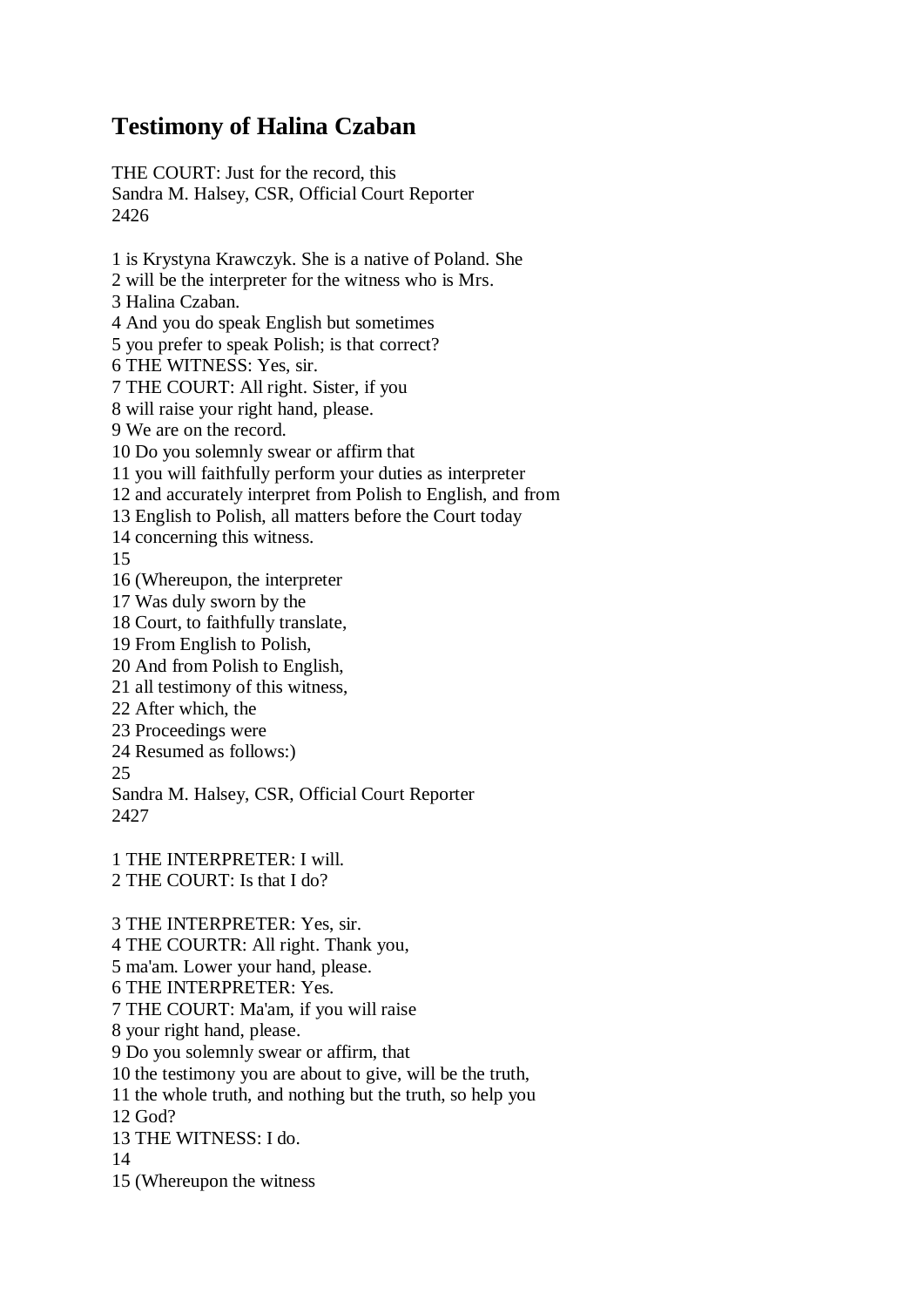## **Testimony of Halina Czaban**

THE COURT: Just for the record, this Sandra M. Halsey, CSR, Official Court Reporter 2426

1 is Krystyna Krawczyk. She is a native of Poland. She 2 will be the interpreter for the witness who is Mrs. 3 Halina Czaban. 4 And you do speak English but sometimes 5 you prefer to speak Polish; is that correct? 6 THE WITNESS: Yes, sir. 7 THE COURT: All right. Sister, if you 8 will raise your right hand, please. 9 We are on the record. 10 Do you solemnly swear or affirm that 11 you will faithfully perform your duties as interpreter 12 and accurately interpret from Polish to English, and from 13 English to Polish, all matters before the Court today 14 concerning this witness. 15 16 (Whereupon, the interpreter 17 Was duly sworn by the 18 Court, to faithfully translate, 19 From English to Polish, 20 And from Polish to English, 21 all testimony of this witness, 22 After which, the 23 Proceedings were 24 Resumed as follows:) 25 Sandra M. Halsey, CSR, Official Court Reporter 2427 1 THE INTERPRETER: I will. 2 THE COURT: Is that I do? 3 THE INTERPRETER: Yes, sir. 4 THE COURTR: All right. Thank you, 5 ma'am. Lower your hand, please.

6 THE INTERPRETER: Yes.

7 THE COURT: Ma'am, if you will raise

8 your right hand, please.

9 Do you solemnly swear or affirm, that

10 the testimony you are about to give, will be the truth,

11 the whole truth, and nothing but the truth, so help you

12 God?

13 THE WITNESS: I do.

14

15 (Whereupon the witness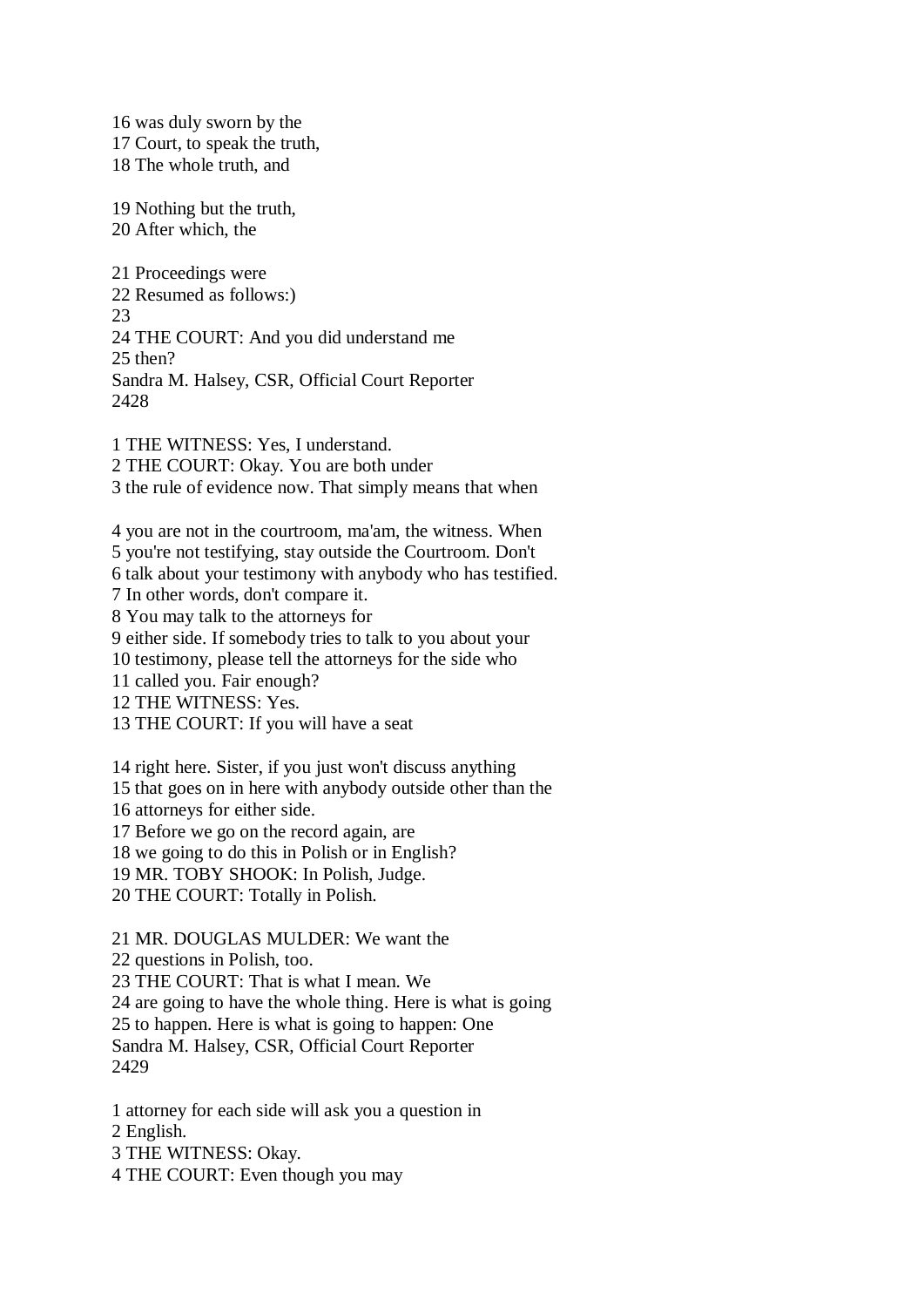16 was duly sworn by the 17 Court, to speak the truth, 18 The whole truth, and

19 Nothing but the truth, 20 After which, the

21 Proceedings were 22 Resumed as follows:) 23 24 THE COURT: And you did understand me 25 then? Sandra M. Halsey, CSR, Official Court Reporter 2428

1 THE WITNESS: Yes, I understand. 2 THE COURT: Okay. You are both under 3 the rule of evidence now. That simply means that when

4 you are not in the courtroom, ma'am, the witness. When 5 you're not testifying, stay outside the Courtroom. Don't 6 talk about your testimony with anybody who has testified. 7 In other words, don't compare it. 8 You may talk to the attorneys for 9 either side. If somebody tries to talk to you about your 10 testimony, please tell the attorneys for the side who 11 called you. Fair enough? 12 THE WITNESS: Yes. 13 THE COURT: If you will have a seat 14 right here. Sister, if you just won't discuss anything 15 that goes on in here with anybody outside other than the 16 attorneys for either side. 17 Before we go on the record again, are 18 we going to do this in Polish or in English?

19 MR. TOBY SHOOK: In Polish, Judge.

20 THE COURT: Totally in Polish.

21 MR. DOUGLAS MULDER: We want the

22 questions in Polish, too.

23 THE COURT: That is what I mean. We

24 are going to have the whole thing. Here is what is going

25 to happen. Here is what is going to happen: One

Sandra M. Halsey, CSR, Official Court Reporter 2429

1 attorney for each side will ask you a question in 2 English. 3 THE WITNESS: Okay.

4 THE COURT: Even though you may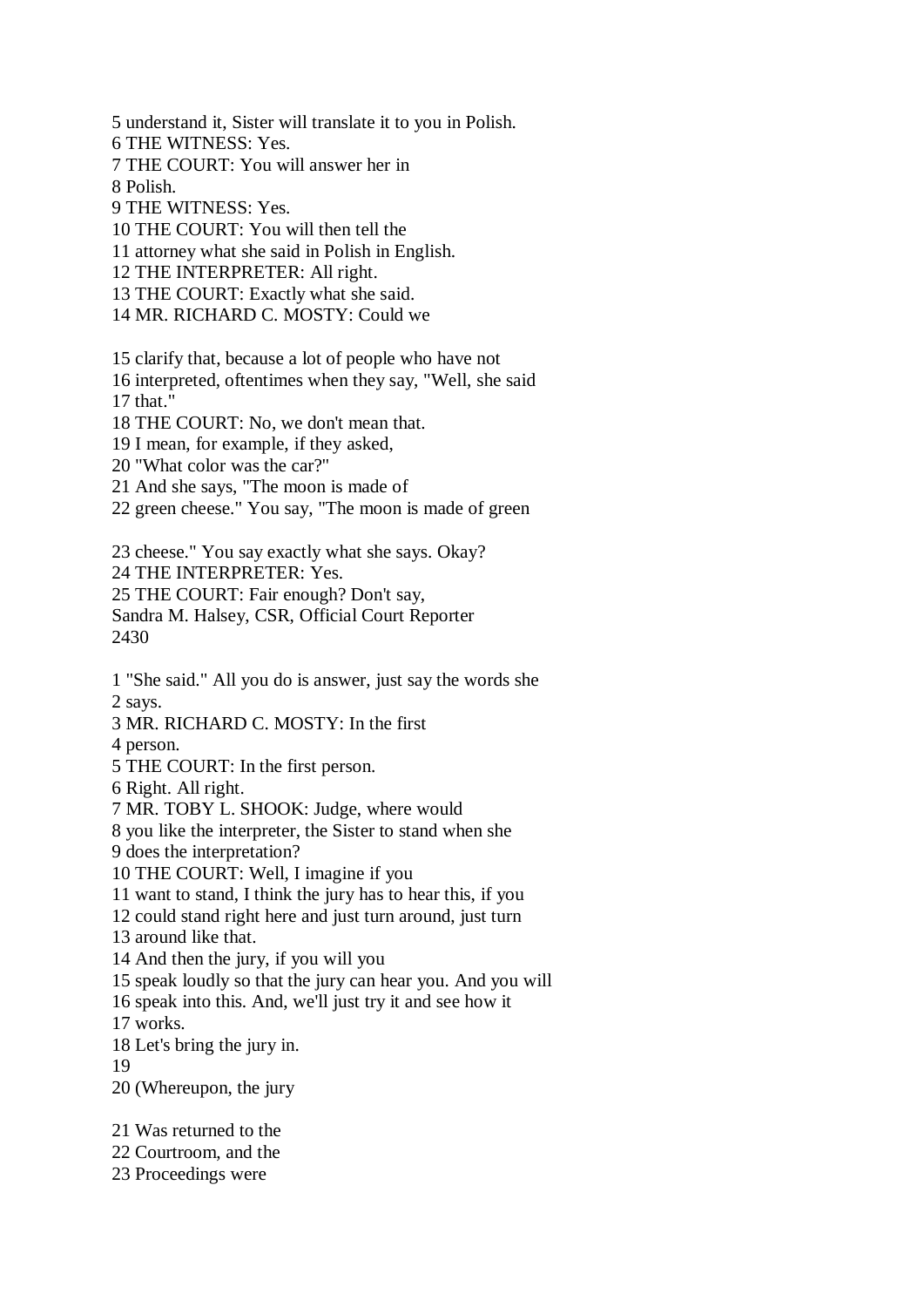5 understand it, Sister will translate it to you in Polish.

6 THE WITNESS: Yes.

7 THE COURT: You will answer her in

8 Polish.

9 THE WITNESS: Yes.

10 THE COURT: You will then tell the

11 attorney what she said in Polish in English.

12 THE INTERPRETER: All right.

13 THE COURT: Exactly what she said.

14 MR. RICHARD C. MOSTY: Could we

15 clarify that, because a lot of people who have not

16 interpreted, oftentimes when they say, "Well, she said 17 that."

18 THE COURT: No, we don't mean that.

19 I mean, for example, if they asked,

20 "What color was the car?"

21 And she says, "The moon is made of

22 green cheese." You say, "The moon is made of green

23 cheese." You say exactly what she says. Okay? 24 THE INTERPRETER: Yes. 25 THE COURT: Fair enough? Don't say, Sandra M. Halsey, CSR, Official Court Reporter

2430

1 "She said." All you do is answer, just say the words she 2 says.

3 MR. RICHARD C. MOSTY: In the first

4 person.

5 THE COURT: In the first person.

6 Right. All right.

7 MR. TOBY L. SHOOK: Judge, where would

8 you like the interpreter, the Sister to stand when she

9 does the interpretation?

10 THE COURT: Well, I imagine if you

11 want to stand, I think the jury has to hear this, if you

12 could stand right here and just turn around, just turn

13 around like that.

14 And then the jury, if you will you

15 speak loudly so that the jury can hear you. And you will

16 speak into this. And, we'll just try it and see how it

17 works.

18 Let's bring the jury in.

19

20 (Whereupon, the jury

21 Was returned to the

22 Courtroom, and the

23 Proceedings were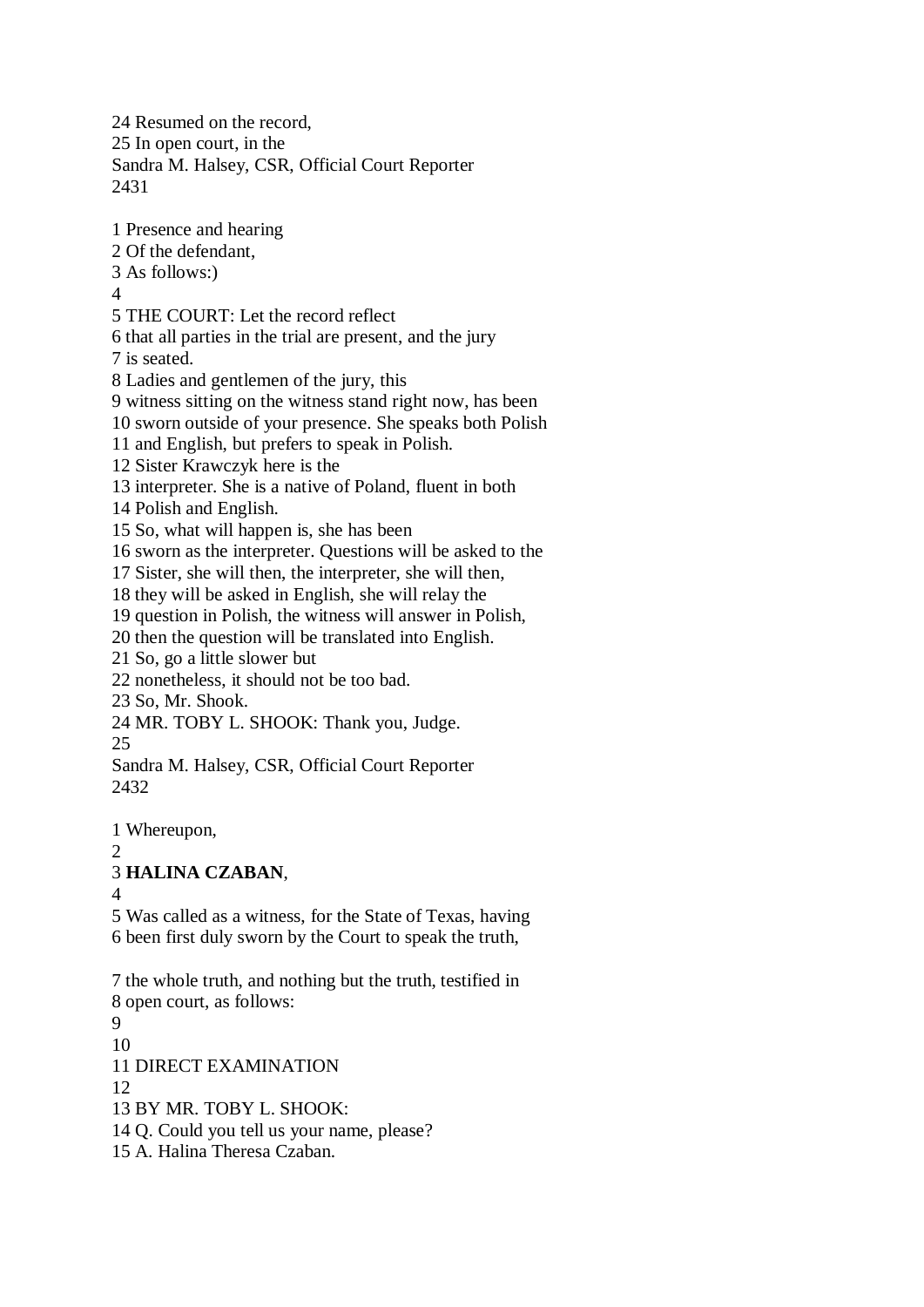24 Resumed on the record, 25 In open court, in the Sandra M. Halsey, CSR, Official Court Reporter 2431

1 Presence and hearing

2 Of the defendant,

3 As follows:)

4

5 THE COURT: Let the record reflect

6 that all parties in the trial are present, and the jury

7 is seated.

8 Ladies and gentlemen of the jury, this

9 witness sitting on the witness stand right now, has been

10 sworn outside of your presence. She speaks both Polish

11 and English, but prefers to speak in Polish.

12 Sister Krawczyk here is the

13 interpreter. She is a native of Poland, fluent in both

14 Polish and English.

15 So, what will happen is, she has been

16 sworn as the interpreter. Questions will be asked to the

17 Sister, she will then, the interpreter, she will then,

18 they will be asked in English, she will relay the

19 question in Polish, the witness will answer in Polish,

20 then the question will be translated into English.

21 So, go a little slower but

22 nonetheless, it should not be too bad.

23 So, Mr. Shook.

24 MR. TOBY L. SHOOK: Thank you, Judge.

25

Sandra M. Halsey, CSR, Official Court Reporter 2432

1 Whereupon,

## 2

3 **HALINA CZABAN**,

4

5 Was called as a witness, for the State of Texas, having 6 been first duly sworn by the Court to speak the truth,

7 the whole truth, and nothing but the truth, testified in 8 open court, as follows: 9 10 11 DIRECT EXAMINATION 12 13 BY MR. TOBY L. SHOOK: 14 Q. Could you tell us your name, please? 15 A. Halina Theresa Czaban.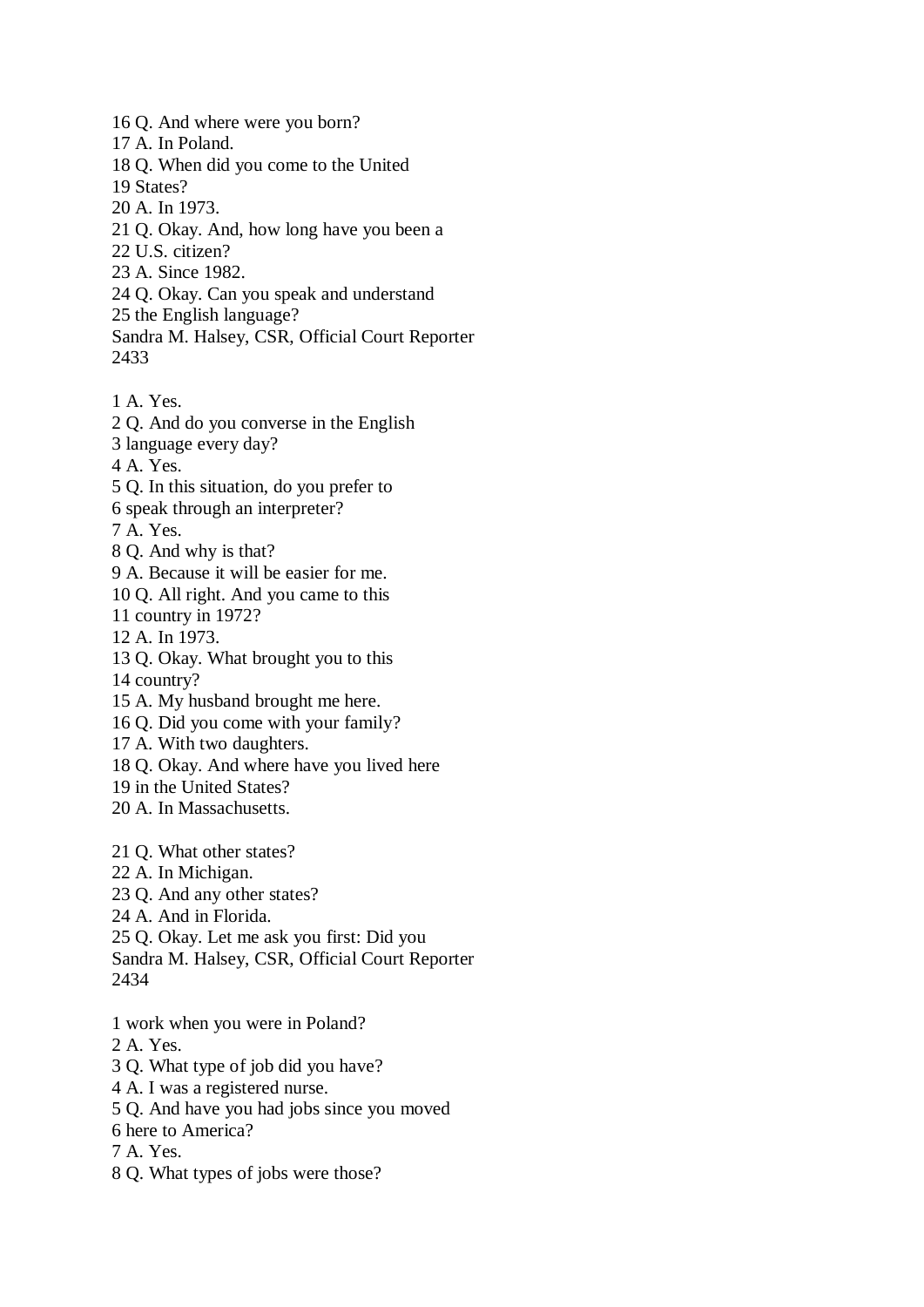16 Q. And where were you born?

- 17 A. In Poland.
- 18 Q. When did you come to the United
- 19 States?
- 20 A. In 1973.
- 21 Q. Okay. And, how long have you been a
- 22 U.S. citizen?
- 23 A. Since 1982.
- 24 Q. Okay. Can you speak and understand
- 25 the English language?
- Sandra M. Halsey, CSR, Official Court Reporter 2433
- 1 A. Yes.
- 2 Q. And do you converse in the English
- 3 language every day?
- 4 A. Yes.
- 5 Q. In this situation, do you prefer to
- 6 speak through an interpreter?
- 7 A. Yes.
- 8 Q. And why is that?
- 9 A. Because it will be easier for me.
- 10 Q. All right. And you came to this
- 11 country in 1972?
- 12 A. In 1973.
- 13 Q. Okay. What brought you to this
- 14 country?
- 15 A. My husband brought me here.
- 16 Q. Did you come with your family?
- 17 A. With two daughters.
- 18 Q. Okay. And where have you lived here
- 19 in the United States?
- 20 A. In Massachusetts.
- 21 Q. What other states?
- 22 A. In Michigan.
- 23 Q. And any other states?
- 24 A. And in Florida.
- 25 Q. Okay. Let me ask you first: Did you
- Sandra M. Halsey, CSR, Official Court Reporter 2434
- 1 work when you were in Poland?
- 2 A. Yes.
- 3 Q. What type of job did you have?
- 4 A. I was a registered nurse.
- 5 Q. And have you had jobs since you moved
- 6 here to America?
- 7 A. Yes.
- 8 Q. What types of jobs were those?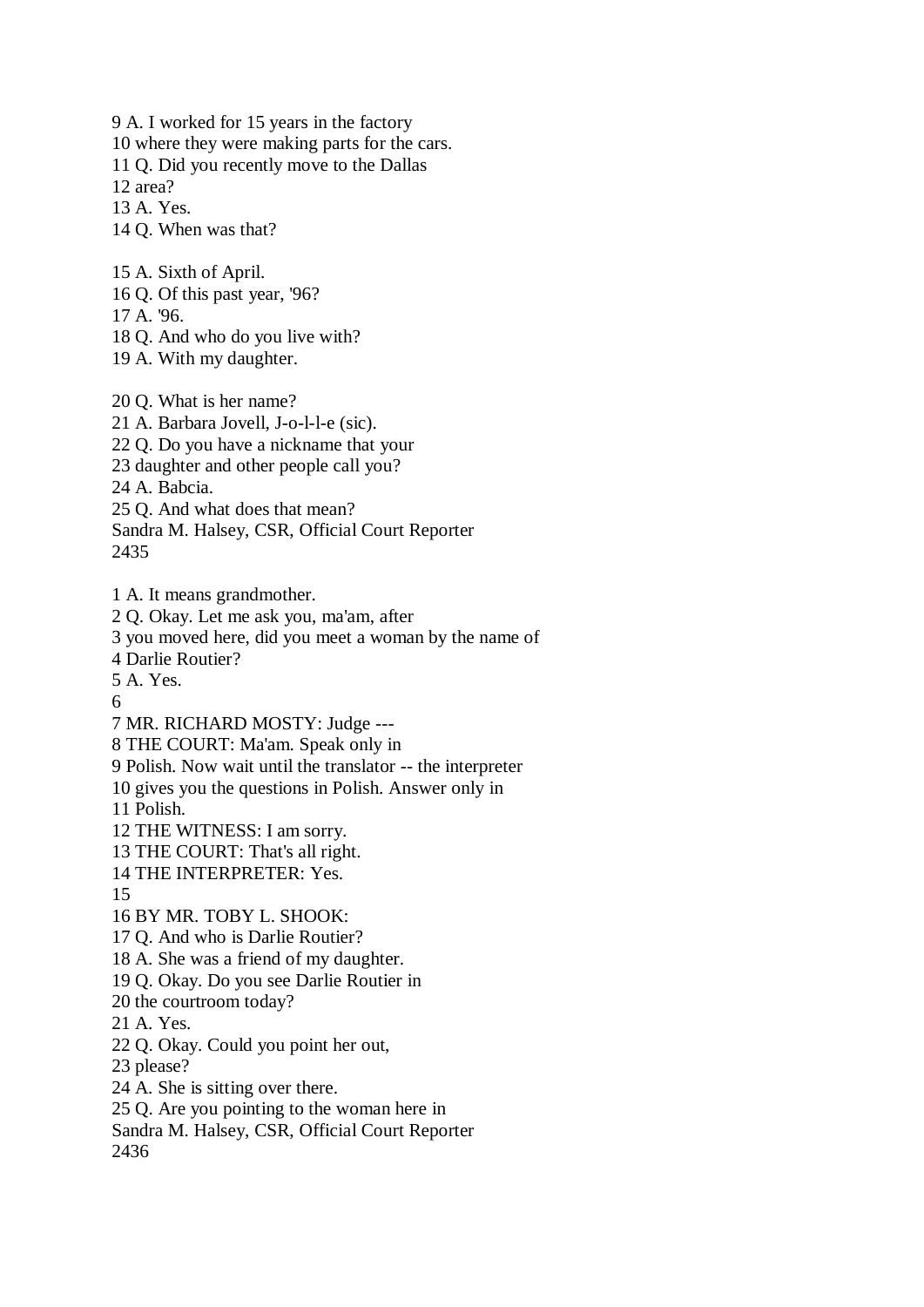9 A. I worked for 15 years in the factory

10 where they were making parts for the cars.

11 Q. Did you recently move to the Dallas

12 area?

13 A. Yes.

14 Q. When was that?

15 A. Sixth of April.

16 Q. Of this past year, '96?

17 A. '96.

18 Q. And who do you live with?

19 A. With my daughter.

20 Q. What is her name? 21 A. Barbara Jovell, J-o-l-l-e (sic). 22 Q. Do you have a nickname that your 23 daughter and other people call you? 24 A. Babcia. 25 Q. And what does that mean? Sandra M. Halsey, CSR, Official Court Reporter 2435

1 A. It means grandmother.

2 Q. Okay. Let me ask you, ma'am, after

3 you moved here, did you meet a woman by the name of

4 Darlie Routier?

5 A. Yes.

6

7 MR. RICHARD MOSTY: Judge ---

8 THE COURT: Ma'am. Speak only in

9 Polish. Now wait until the translator -- the interpreter

10 gives you the questions in Polish. Answer only in

11 Polish.

12 THE WITNESS: I am sorry.

13 THE COURT: That's all right.

14 THE INTERPRETER: Yes.

15

16 BY MR. TOBY L. SHOOK:

17 Q. And who is Darlie Routier?

18 A. She was a friend of my daughter.

19 Q. Okay. Do you see Darlie Routier in

20 the courtroom today?

21 A. Yes.

22 Q. Okay. Could you point her out,

23 please?

24 A. She is sitting over there.

25 Q. Are you pointing to the woman here in

Sandra M. Halsey, CSR, Official Court Reporter

2436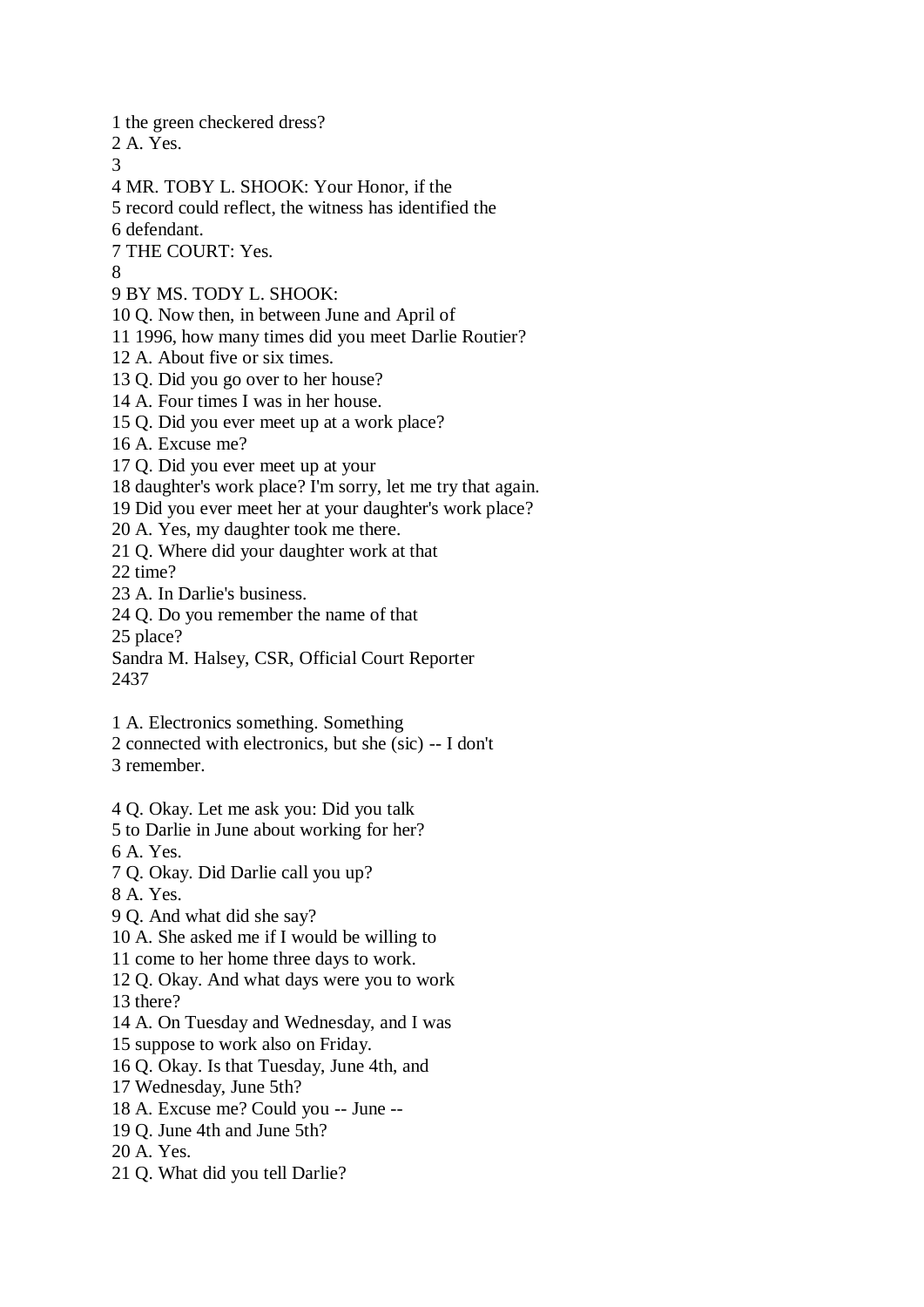1 the green checkered dress?

2 A. Yes.

3

4 MR. TOBY L. SHOOK: Your Honor, if the

5 record could reflect, the witness has identified the

6 defendant.

7 THE COURT: Yes.

8

9 BY MS. TODY L. SHOOK:

10 Q. Now then, in between June and April of

11 1996, how many times did you meet Darlie Routier?

12 A. About five or six times.

13 Q. Did you go over to her house?

14 A. Four times I was in her house.

15 Q. Did you ever meet up at a work place?

16 A. Excuse me?

17 Q. Did you ever meet up at your

18 daughter's work place? I'm sorry, let me try that again.

19 Did you ever meet her at your daughter's work place?

20 A. Yes, my daughter took me there.

21 Q. Where did your daughter work at that

22 time?

23 A. In Darlie's business.

24 Q. Do you remember the name of that

25 place?

Sandra M. Halsey, CSR, Official Court Reporter 2437

1 A. Electronics something. Something

2 connected with electronics, but she (sic) -- I don't 3 remember.

4 Q. Okay. Let me ask you: Did you talk

5 to Darlie in June about working for her?

6 A. Yes.

7 Q. Okay. Did Darlie call you up?

8 A. Yes.

9 Q. And what did she say?

10 A. She asked me if I would be willing to

11 come to her home three days to work.

12 Q. Okay. And what days were you to work

13 there?

14 A. On Tuesday and Wednesday, and I was

15 suppose to work also on Friday.

16 Q. Okay. Is that Tuesday, June 4th, and

17 Wednesday, June 5th?

18 A. Excuse me? Could you -- June --

19 Q. June 4th and June 5th?

20 A. Yes.

21 Q. What did you tell Darlie?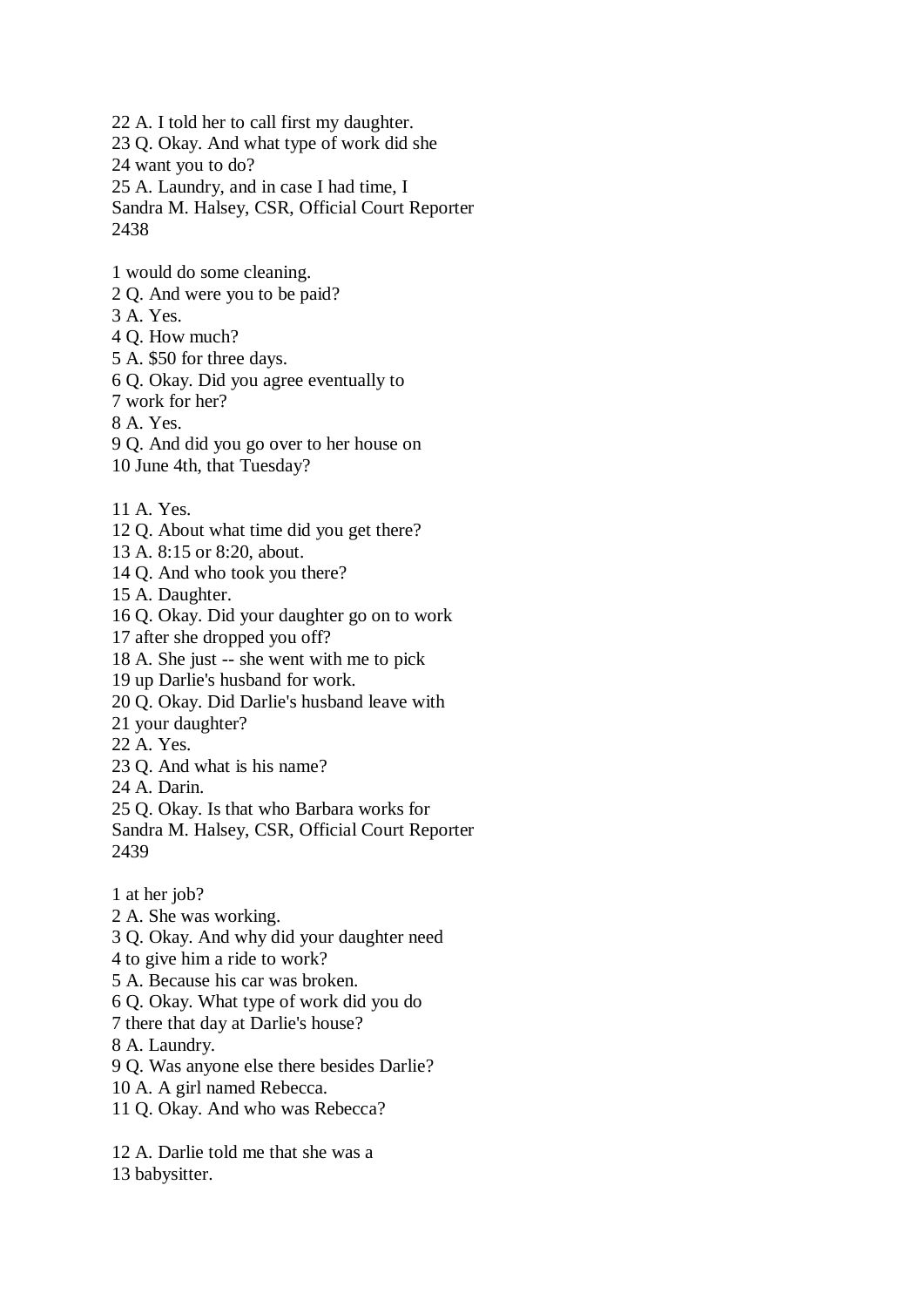22 A. I told her to call first my daughter. 23 Q. Okay. And what type of work did she 24 want you to do? 25 A. Laundry, and in case I had time, I Sandra M. Halsey, CSR, Official Court Reporter

2438

- 1 would do some cleaning.
- 2 Q. And were you to be paid?
- 3 A. Yes.
- 4 Q. How much?
- 5 A. \$50 for three days.
- 6 Q. Okay. Did you agree eventually to
- 7 work for her?

8 A. Yes.

9 Q. And did you go over to her house on

10 June 4th, that Tuesday?

- 11 A. Yes.
- 12 Q. About what time did you get there?
- 13 A. 8:15 or 8:20, about.
- 14 Q. And who took you there?
- 15 A. Daughter.

16 Q. Okay. Did your daughter go on to work

17 after she dropped you off?

18 A. She just -- she went with me to pick

- 19 up Darlie's husband for work.
- 20 Q. Okay. Did Darlie's husband leave with
- 21 your daughter?
- 22 A. Yes.
- 23 Q. And what is his name?
- 24 A. Darin.

25 Q. Okay. Is that who Barbara works for

Sandra M. Halsey, CSR, Official Court Reporter 2439

1 at her job?

2 A. She was working.

3 Q. Okay. And why did your daughter need

4 to give him a ride to work?

5 A. Because his car was broken.

- 6 Q. Okay. What type of work did you do
- 7 there that day at Darlie's house?
- 8 A. Laundry.

9 Q. Was anyone else there besides Darlie?

- 10 A. A girl named Rebecca.
- 11 Q. Okay. And who was Rebecca?

12 A. Darlie told me that she was a

13 babysitter.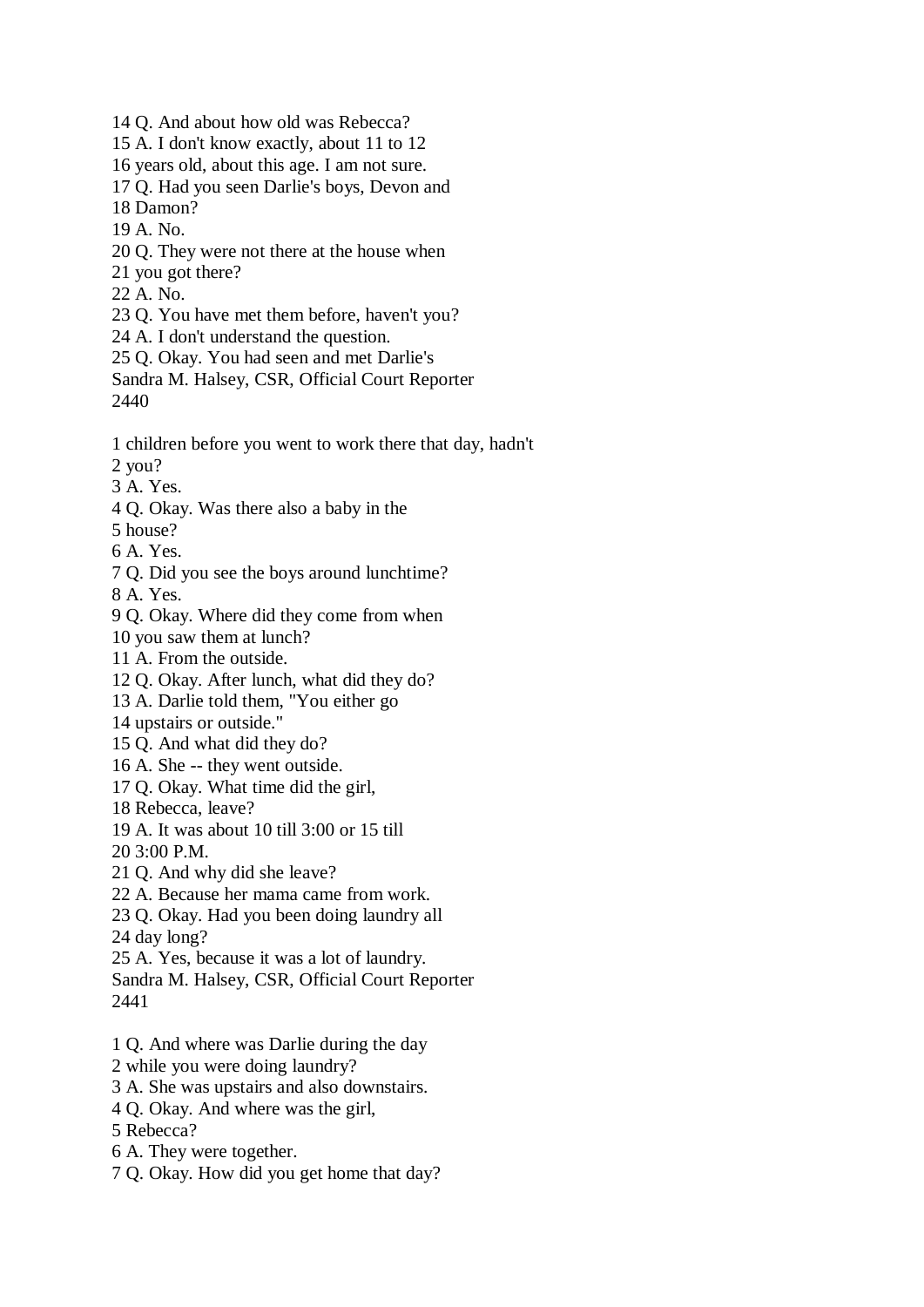- 14 Q. And about how old was Rebecca?
- 15 A. I don't know exactly, about 11 to 12
- 16 years old, about this age. I am not sure.
- 17 Q. Had you seen Darlie's boys, Devon and
- 18 Damon?
- 19 A. No.
- 20 Q. They were not there at the house when
- 21 you got there?
- 22 A. No.
- 23 Q. You have met them before, haven't you?
- 24 A. I don't understand the question.
- 25 Q. Okay. You had seen and met Darlie's
- Sandra M. Halsey, CSR, Official Court Reporter 2440
- 1 children before you went to work there that day, hadn't 2 you?
- 3 A. Yes.
- 4 Q. Okay. Was there also a baby in the
- 5 house?
- 6 A. Yes.
- 7 Q. Did you see the boys around lunchtime?
- 8 A. Yes.
- 9 Q. Okay. Where did they come from when
- 10 you saw them at lunch?
- 11 A. From the outside.
- 12 Q. Okay. After lunch, what did they do?
- 13 A. Darlie told them, "You either go
- 14 upstairs or outside."
- 15 Q. And what did they do?
- 16 A. She -- they went outside.
- 17 Q. Okay. What time did the girl,
- 18 Rebecca, leave?
- 19 A. It was about 10 till 3:00 or 15 till
- 20 3:00 P.M.
- 21 Q. And why did she leave?
- 22 A. Because her mama came from work.
- 23 Q. Okay. Had you been doing laundry all
- 24 day long?
- 25 A. Yes, because it was a lot of laundry.
- Sandra M. Halsey, CSR, Official Court Reporter 2441
- 1 Q. And where was Darlie during the day
- 2 while you were doing laundry?
- 3 A. She was upstairs and also downstairs.
- 4 Q. Okay. And where was the girl,
- 5 Rebecca?
- 6 A. They were together.
- 7 Q. Okay. How did you get home that day?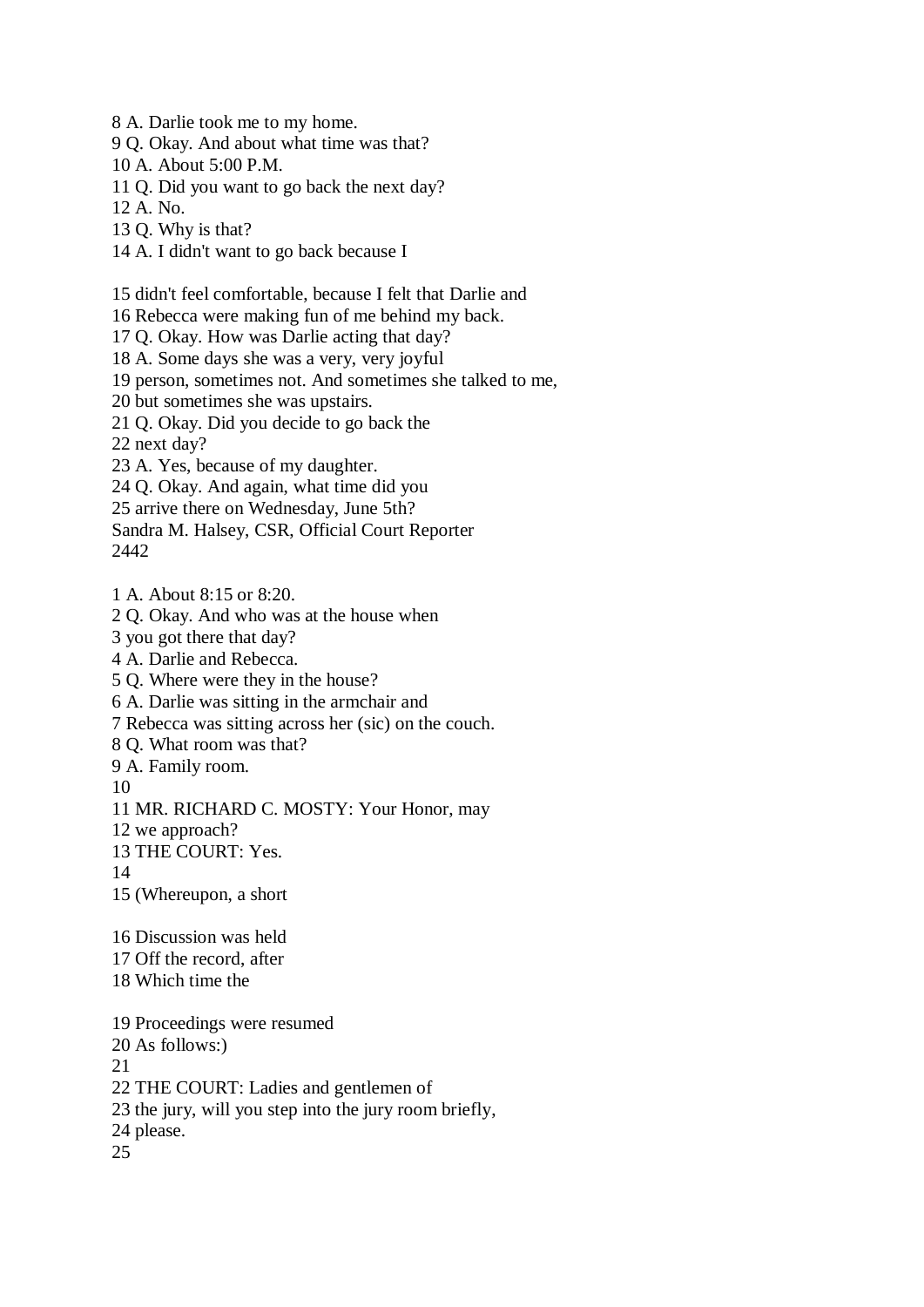8 A. Darlie took me to my home.

9 Q. Okay. And about what time was that?

10 A. About 5:00 P.M.

11 Q. Did you want to go back the next day?

12 A. No.

13 Q. Why is that?

14 A. I didn't want to go back because I

15 didn't feel comfortable, because I felt that Darlie and

16 Rebecca were making fun of me behind my back.

17 Q. Okay. How was Darlie acting that day?

18 A. Some days she was a very, very joyful

19 person, sometimes not. And sometimes she talked to me,

20 but sometimes she was upstairs.

21 Q. Okay. Did you decide to go back the

22 next day?

23 A. Yes, because of my daughter.

24 Q. Okay. And again, what time did you

25 arrive there on Wednesday, June 5th?

Sandra M. Halsey, CSR, Official Court Reporter 2442

1 A. About 8:15 or 8:20.

2 Q. Okay. And who was at the house when

3 you got there that day?

4 A. Darlie and Rebecca.

5 Q. Where were they in the house?

6 A. Darlie was sitting in the armchair and

7 Rebecca was sitting across her (sic) on the couch.

8 Q. What room was that?

9 A. Family room.

10

11 MR. RICHARD C. MOSTY: Your Honor, may

12 we approach?

13 THE COURT: Yes.

14

15 (Whereupon, a short

16 Discussion was held

17 Off the record, after

18 Which time the

19 Proceedings were resumed 20 As follows:) 21 22 THE COURT: Ladies and gentlemen of 23 the jury, will you step into the jury room briefly, 24 please.

25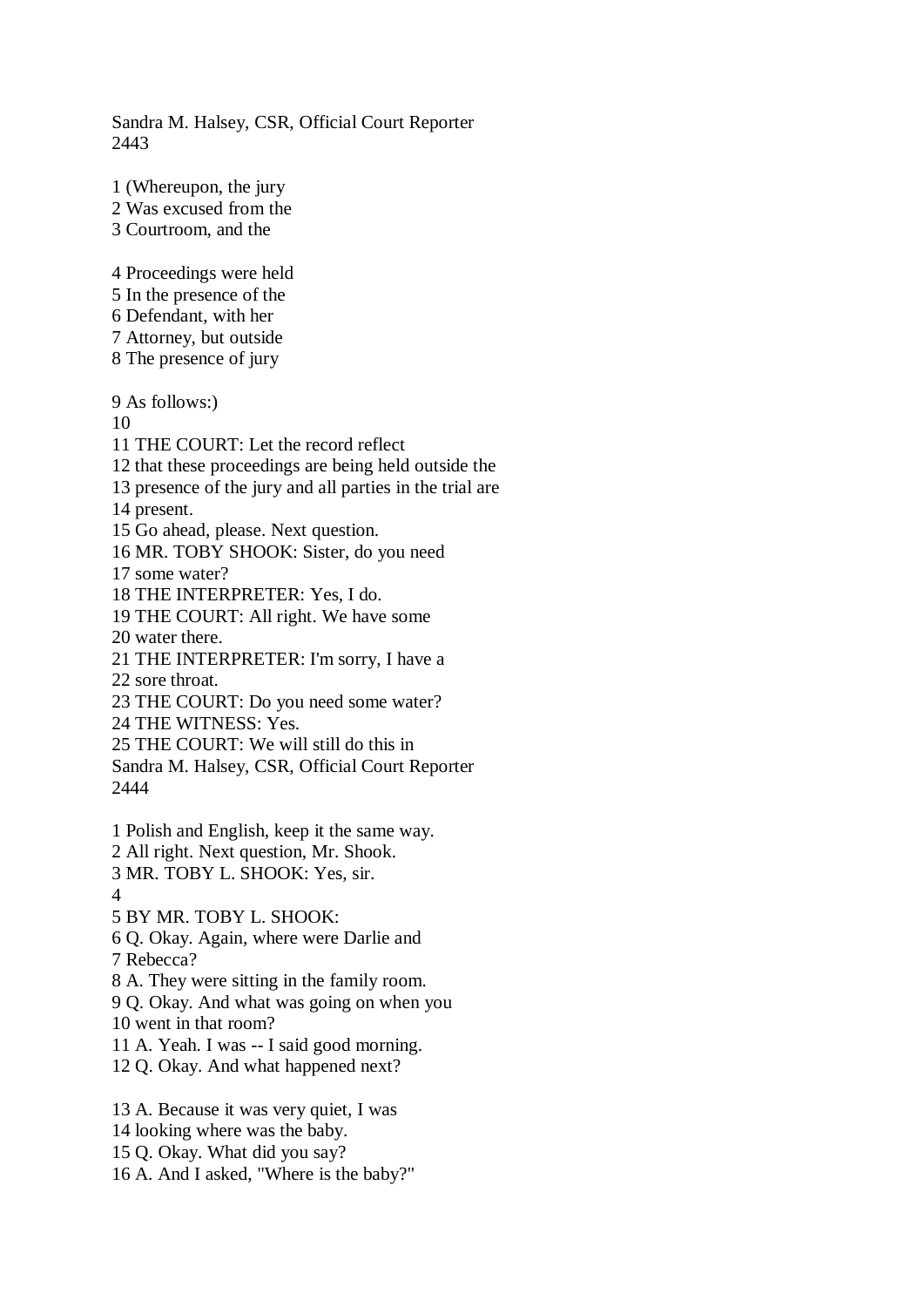Sandra M. Halsey, CSR, Official Court Reporter 2443

1 (Whereupon, the jury

- 2 Was excused from the
- 3 Courtroom, and the

4 Proceedings were held

- 5 In the presence of the
- 6 Defendant, with her
- 7 Attorney, but outside
- 8 The presence of jury

9 As follows:)

10

11 THE COURT: Let the record reflect

12 that these proceedings are being held outside the

13 presence of the jury and all parties in the trial are

14 present.

- 15 Go ahead, please. Next question.
- 16 MR. TOBY SHOOK: Sister, do you need

17 some water?

18 THE INTERPRETER: Yes, I do.

19 THE COURT: All right. We have some

20 water there.

21 THE INTERPRETER: I'm sorry, I have a 22 sore throat.

23 THE COURT: Do you need some water?

24 THE WITNESS: Yes.

25 THE COURT: We will still do this in

Sandra M. Halsey, CSR, Official Court Reporter 2444

- 1 Polish and English, keep it the same way.
- 2 All right. Next question, Mr. Shook.
- 3 MR. TOBY L. SHOOK: Yes, sir.
- $\Delta$

5 BY MR. TOBY L. SHOOK:

6 Q. Okay. Again, where were Darlie and

7 Rebecca?

8 A. They were sitting in the family room.

9 Q. Okay. And what was going on when you

10 went in that room?

11 A. Yeah. I was -- I said good morning.

12 Q. Okay. And what happened next?

13 A. Because it was very quiet, I was

- 14 looking where was the baby.
- 15 Q. Okay. What did you say?
- 16 A. And I asked, "Where is the baby?"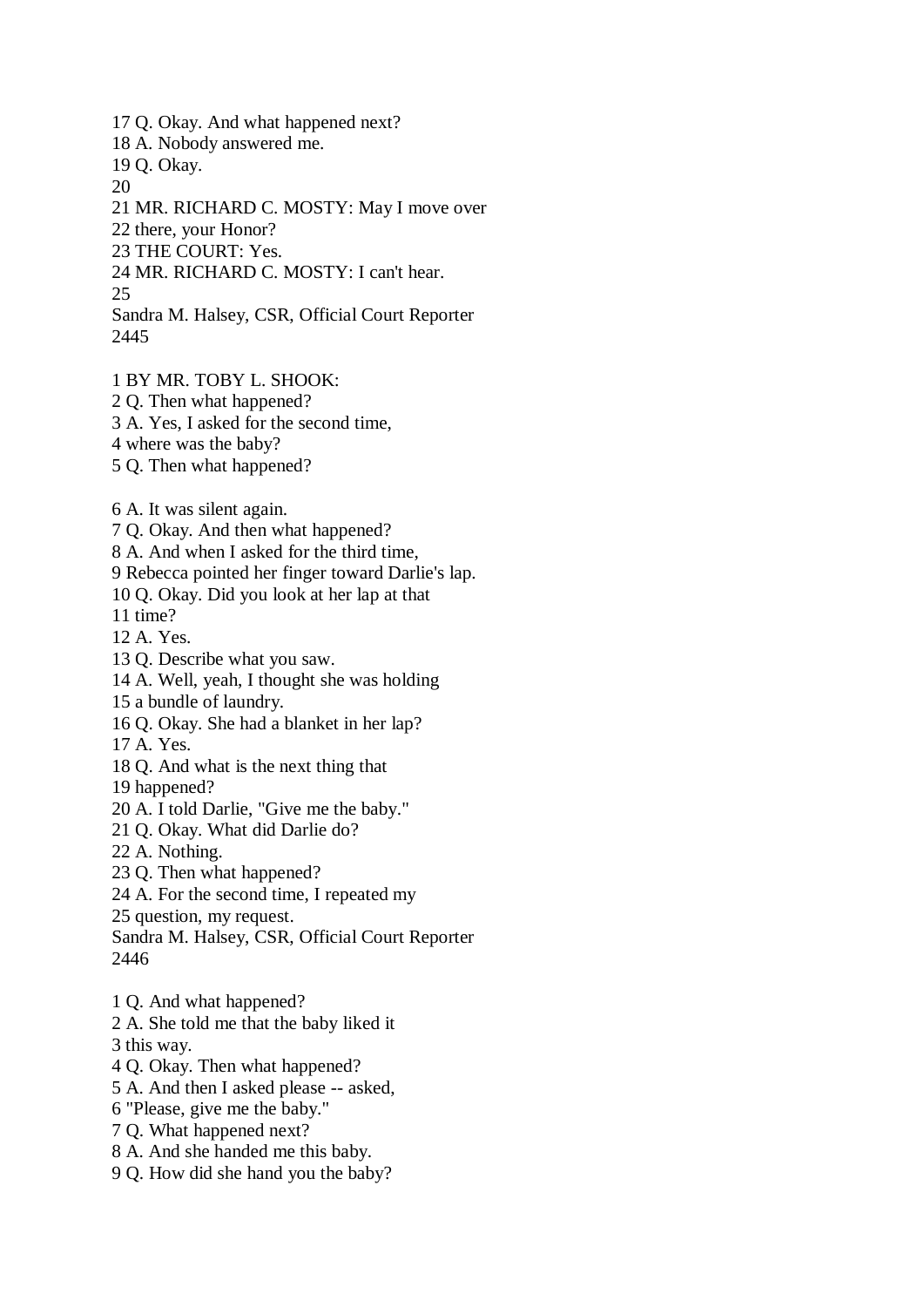17 Q. Okay. And what happened next?

18 A. Nobody answered me.

19 Q. Okay.

20

21 MR. RICHARD C. MOSTY: May I move over

22 there, your Honor?

23 THE COURT: Yes.

24 MR. RICHARD C. MOSTY: I can't hear.

25

Sandra M. Halsey, CSR, Official Court Reporter 2445

1 BY MR. TOBY L. SHOOK:

2 Q. Then what happened?

3 A. Yes, I asked for the second time,

4 where was the baby?

5 Q. Then what happened?

6 A. It was silent again.

7 Q. Okay. And then what happened?

8 A. And when I asked for the third time,

9 Rebecca pointed her finger toward Darlie's lap.

10 Q. Okay. Did you look at her lap at that

11 time?

12 A. Yes.

13 Q. Describe what you saw.

14 A. Well, yeah, I thought she was holding

15 a bundle of laundry.

16 Q. Okay. She had a blanket in her lap?

17 A. Yes.

18 Q. And what is the next thing that

19 happened?

20 A. I told Darlie, "Give me the baby."

21 Q. Okay. What did Darlie do?

22 A. Nothing.

23 Q. Then what happened?

24 A. For the second time, I repeated my

25 question, my request.

Sandra M. Halsey, CSR, Official Court Reporter 2446

1 Q. And what happened?

2 A. She told me that the baby liked it

3 this way.

4 Q. Okay. Then what happened?

5 A. And then I asked please -- asked,

6 "Please, give me the baby."

7 Q. What happened next?

8 A. And she handed me this baby.

9 Q. How did she hand you the baby?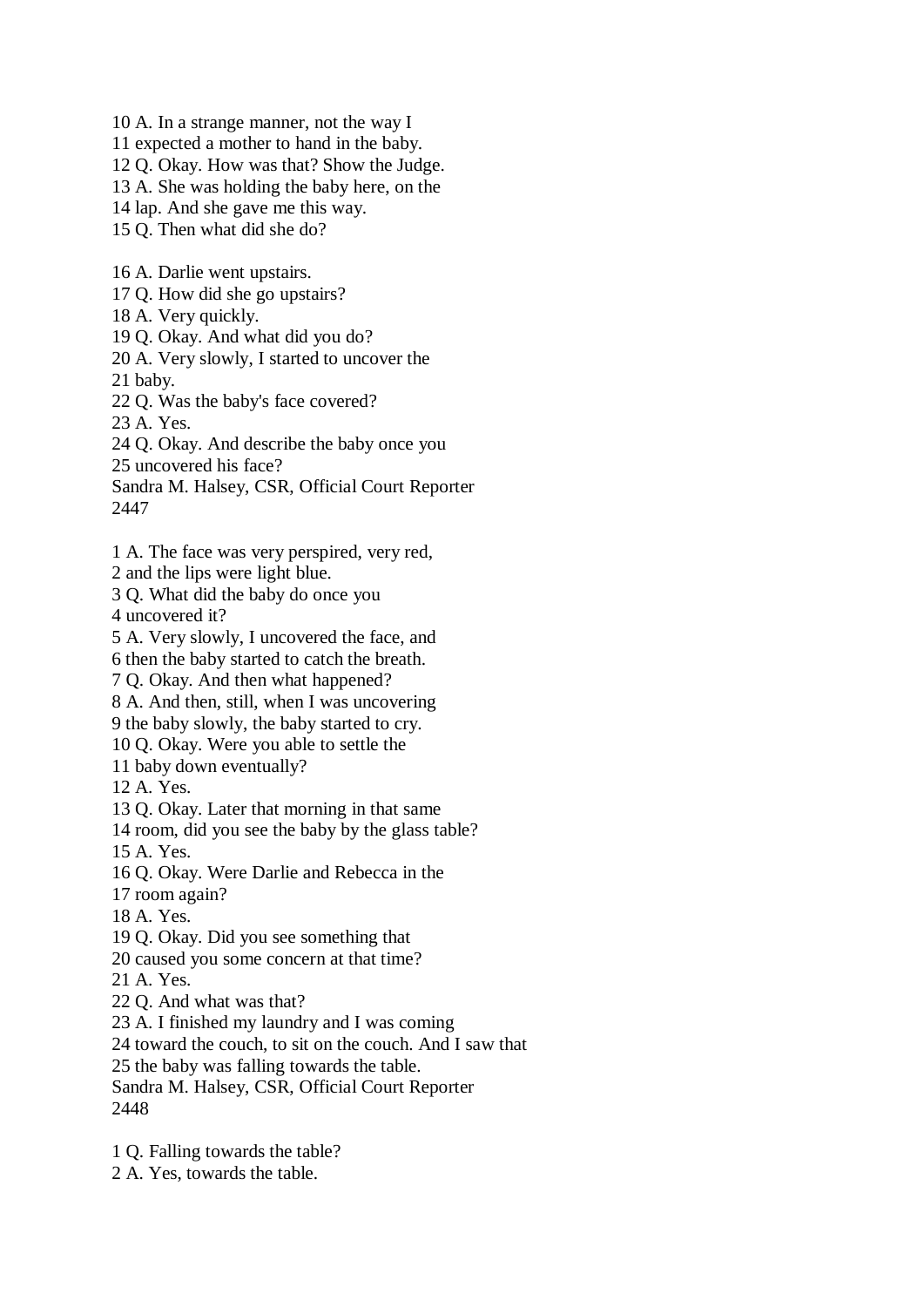10 A. In a strange manner, not the way I

11 expected a mother to hand in the baby.

12 Q. Okay. How was that? Show the Judge.

13 A. She was holding the baby here, on the

14 lap. And she gave me this way.

15 Q. Then what did she do?

16 A. Darlie went upstairs.

17 Q. How did she go upstairs?

18 A. Very quickly.

19 Q. Okay. And what did you do?

20 A. Very slowly, I started to uncover the

21 baby.

22 Q. Was the baby's face covered?

23 A. Yes.

24 Q. Okay. And describe the baby once you

25 uncovered his face?

Sandra M. Halsey, CSR, Official Court Reporter 2447

1 A. The face was very perspired, very red,

2 and the lips were light blue.

3 Q. What did the baby do once you

4 uncovered it?

5 A. Very slowly, I uncovered the face, and

6 then the baby started to catch the breath.

7 Q. Okay. And then what happened?

8 A. And then, still, when I was uncovering

9 the baby slowly, the baby started to cry.

10 Q. Okay. Were you able to settle the

11 baby down eventually?

12 A. Yes.

13 Q. Okay. Later that morning in that same

14 room, did you see the baby by the glass table?

15 A. Yes.

16 Q. Okay. Were Darlie and Rebecca in the

17 room again?

18 A. Yes.

19 Q. Okay. Did you see something that

20 caused you some concern at that time?

21 A. Yes.

22 Q. And what was that?

23 A. I finished my laundry and I was coming

24 toward the couch, to sit on the couch. And I saw that

25 the baby was falling towards the table.

Sandra M. Halsey, CSR, Official Court Reporter 2448

1 Q. Falling towards the table?

2 A. Yes, towards the table.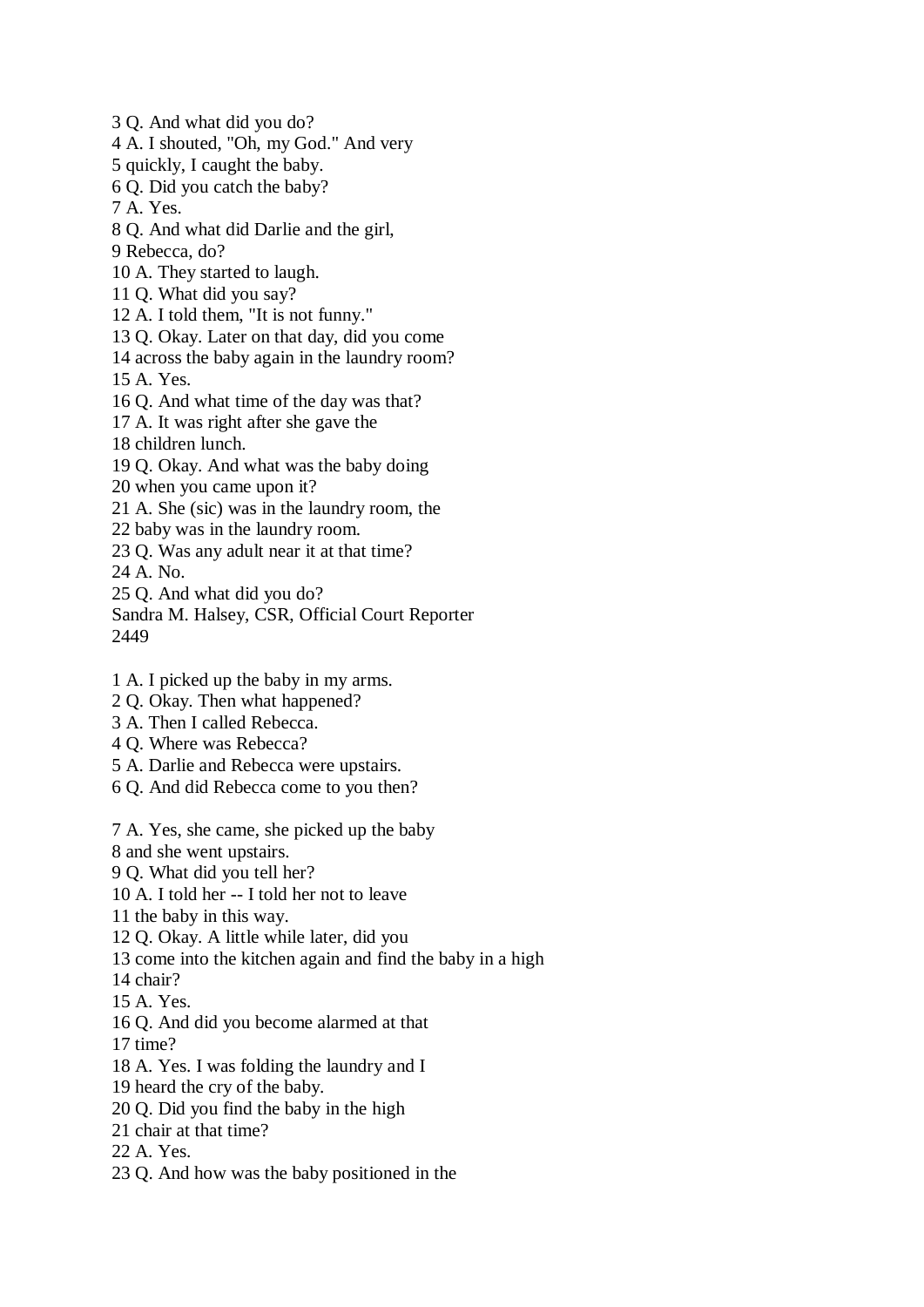3 Q. And what did you do?

4 A. I shouted, "Oh, my God." And very

5 quickly, I caught the baby.

6 Q. Did you catch the baby?

7 A. Yes.

8 Q. And what did Darlie and the girl,

9 Rebecca, do?

10 A. They started to laugh.

11 Q. What did you say?

12 A. I told them, "It is not funny."

- 13 Q. Okay. Later on that day, did you come
- 14 across the baby again in the laundry room? 15 A. Yes.

16 Q. And what time of the day was that?

17 A. It was right after she gave the

18 children lunch.

19 Q. Okay. And what was the baby doing

20 when you came upon it?

21 A. She (sic) was in the laundry room, the

- 22 baby was in the laundry room.
- 23 Q. Was any adult near it at that time?

24 A. No.

25 Q. And what did you do?

Sandra M. Halsey, CSR, Official Court Reporter 2449

- 1 A. I picked up the baby in my arms.
- 2 Q. Okay. Then what happened?
- 3 A. Then I called Rebecca.
- 4 Q. Where was Rebecca?
- 5 A. Darlie and Rebecca were upstairs.
- 6 Q. And did Rebecca come to you then?

7 A. Yes, she came, she picked up the baby

8 and she went upstairs.

9 Q. What did you tell her?

10 A. I told her -- I told her not to leave

11 the baby in this way.

12 Q. Okay. A little while later, did you

13 come into the kitchen again and find the baby in a high

14 chair?

15 A. Yes.

16 Q. And did you become alarmed at that

17 time?

18 A. Yes. I was folding the laundry and I

19 heard the cry of the baby.

20 Q. Did you find the baby in the high

- 21 chair at that time?
- 22 A. Yes.
- 23 Q. And how was the baby positioned in the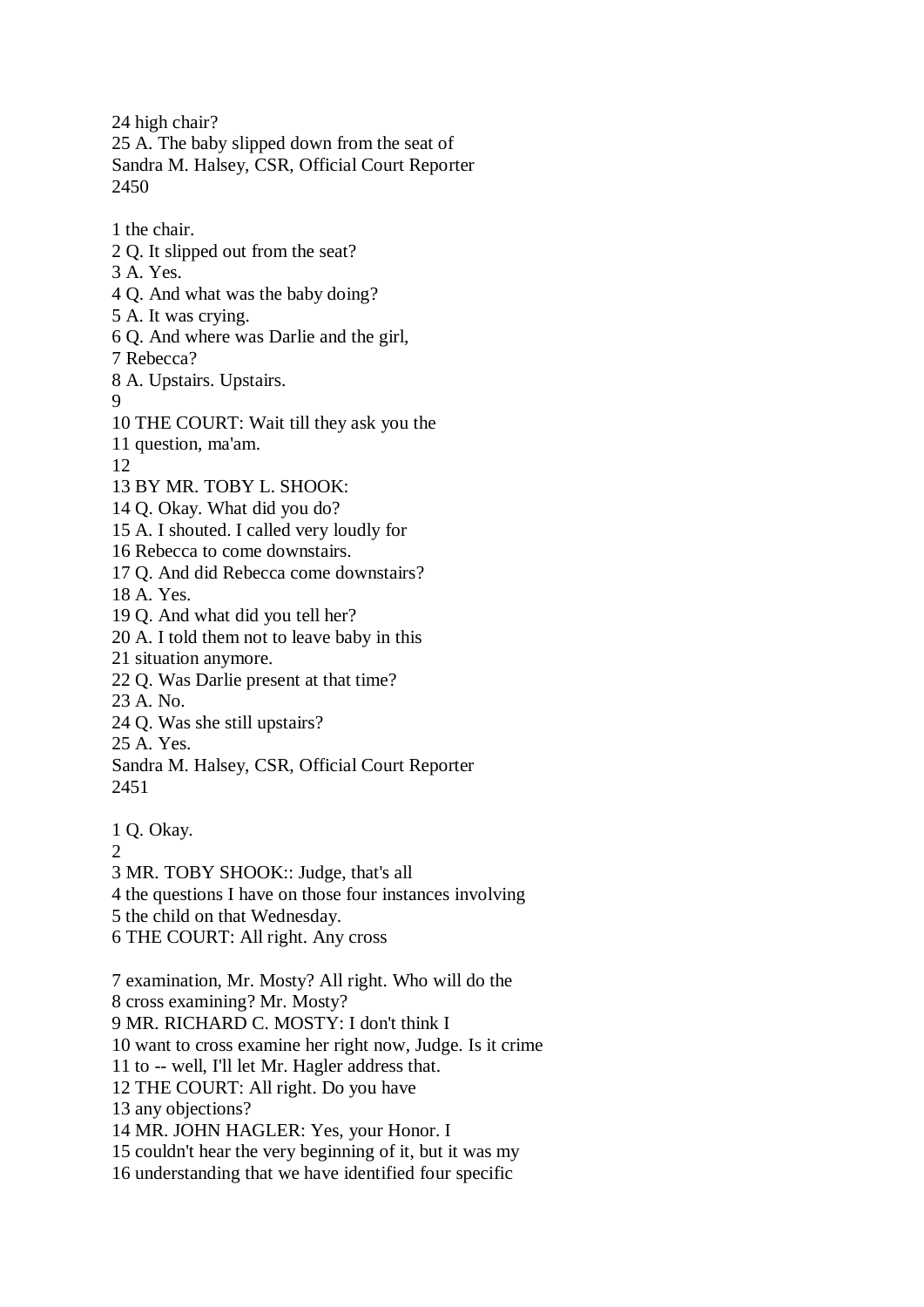24 high chair? 25 A. The baby slipped down from the seat of Sandra M. Halsey, CSR, Official Court Reporter 2450

1 the chair.

- 2 Q. It slipped out from the seat?
- 3 A. Yes.
- 4 Q. And what was the baby doing?
- 5 A. It was crying.
- 6 Q. And where was Darlie and the girl,

7 Rebecca?

- 8 A. Upstairs. Upstairs.
- 9
- 10 THE COURT: Wait till they ask you the
- 11 question, ma'am.

12

- 13 BY MR. TOBY L. SHOOK:
- 14 Q. Okay. What did you do?
- 15 A. I shouted. I called very loudly for
- 16 Rebecca to come downstairs.

17 Q. And did Rebecca come downstairs?

- 18 A. Yes.
- 19 Q. And what did you tell her?
- 20 A. I told them not to leave baby in this
- 21 situation anymore.
- 22 Q. Was Darlie present at that time?
- 23 A. No.
- 24 Q. Was she still upstairs?
- 25 A. Yes.
- Sandra M. Halsey, CSR, Official Court Reporter 2451
- 1 Q. Okay.
- $\mathcal{D}_{\mathcal{L}}$
- 3 MR. TOBY SHOOK:: Judge, that's all
- 4 the questions I have on those four instances involving
- 5 the child on that Wednesday.
- 6 THE COURT: All right. Any cross
- 7 examination, Mr. Mosty? All right. Who will do the
- 8 cross examining? Mr. Mosty?
- 9 MR. RICHARD C. MOSTY: I don't think I
- 10 want to cross examine her right now, Judge. Is it crime
- 11 to -- well, I'll let Mr. Hagler address that.
- 12 THE COURT: All right. Do you have
- 13 any objections?
- 14 MR. JOHN HAGLER: Yes, your Honor. I
- 15 couldn't hear the very beginning of it, but it was my
- 16 understanding that we have identified four specific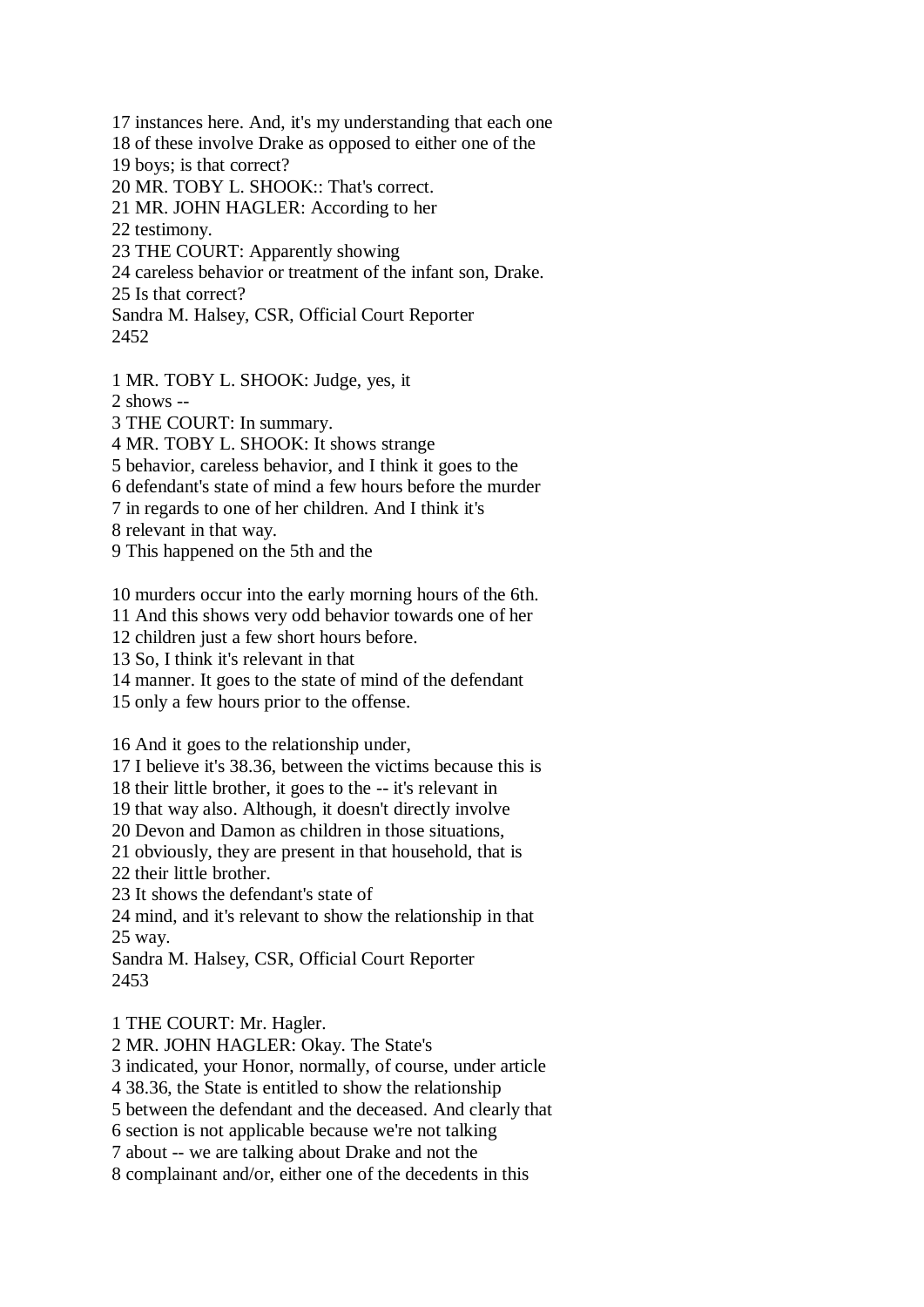17 instances here. And, it's my understanding that each one 18 of these involve Drake as opposed to either one of the 19 boys; is that correct? 20 MR. TOBY L. SHOOK:: That's correct. 21 MR. JOHN HAGLER: According to her 22 testimony. 23 THE COURT: Apparently showing 24 careless behavior or treatment of the infant son, Drake. 25 Is that correct? Sandra M. Halsey, CSR, Official Court Reporter

```
2452
```
1 MR. TOBY L. SHOOK: Judge, yes, it

2 shows --

3 THE COURT: In summary.

4 MR. TOBY L. SHOOK: It shows strange

5 behavior, careless behavior, and I think it goes to the

6 defendant's state of mind a few hours before the murder

7 in regards to one of her children. And I think it's

8 relevant in that way.

9 This happened on the 5th and the

10 murders occur into the early morning hours of the 6th.

11 And this shows very odd behavior towards one of her

12 children just a few short hours before.

13 So, I think it's relevant in that

14 manner. It goes to the state of mind of the defendant

15 only a few hours prior to the offense.

16 And it goes to the relationship under,

17 I believe it's 38.36, between the victims because this is

18 their little brother, it goes to the -- it's relevant in

19 that way also. Although, it doesn't directly involve

20 Devon and Damon as children in those situations,

21 obviously, they are present in that household, that is

22 their little brother.

23 It shows the defendant's state of

24 mind, and it's relevant to show the relationship in that 25 way.

Sandra M. Halsey, CSR, Official Court Reporter 2453

1 THE COURT: Mr. Hagler.

2 MR. JOHN HAGLER: Okay. The State's

3 indicated, your Honor, normally, of course, under article

4 38.36, the State is entitled to show the relationship

5 between the defendant and the deceased. And clearly that

6 section is not applicable because we're not talking

7 about -- we are talking about Drake and not the

8 complainant and/or, either one of the decedents in this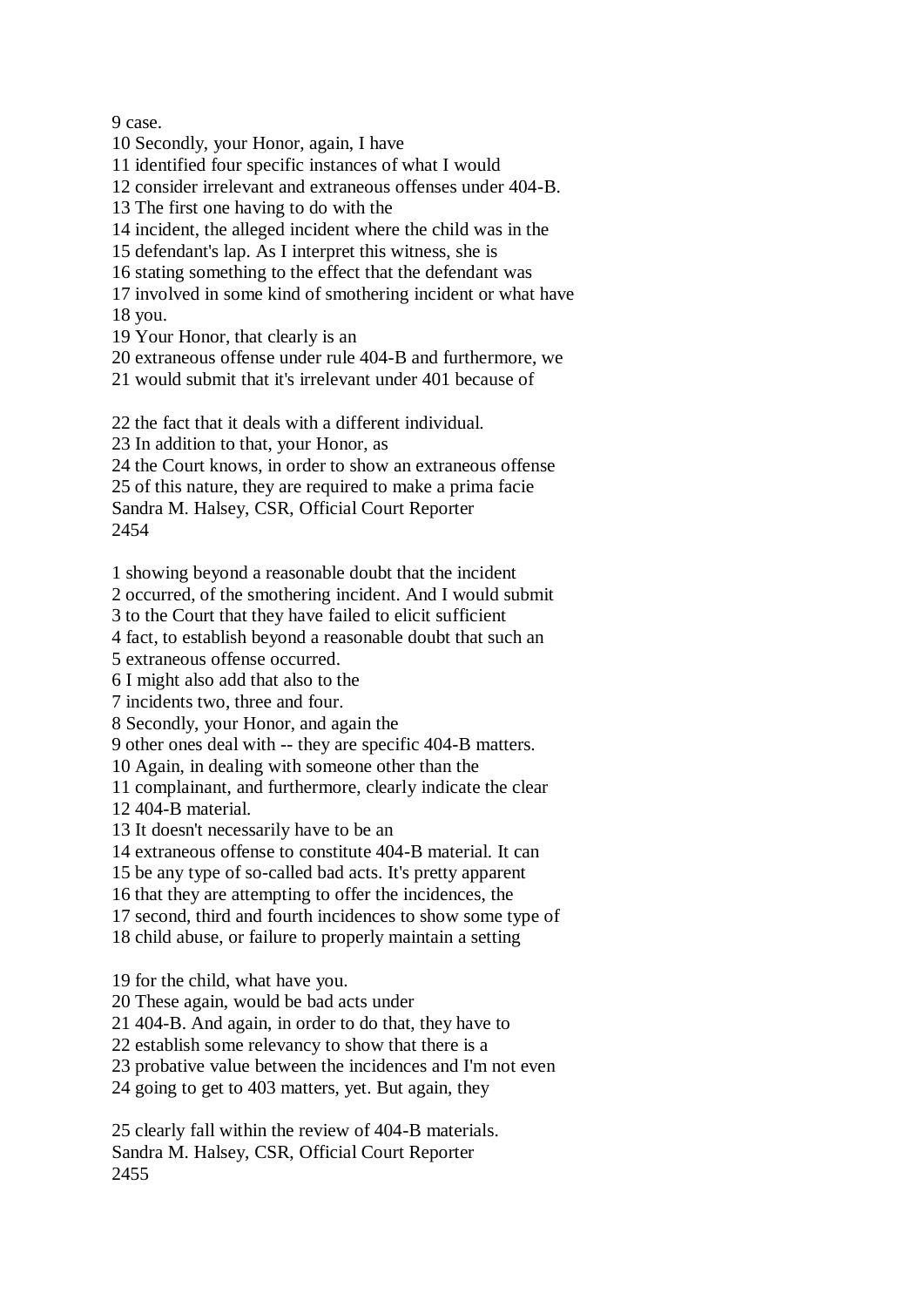9 case.

- 10 Secondly, your Honor, again, I have
- 11 identified four specific instances of what I would
- 12 consider irrelevant and extraneous offenses under 404-B.
- 13 The first one having to do with the
- 14 incident, the alleged incident where the child was in the
- 15 defendant's lap. As I interpret this witness, she is
- 16 stating something to the effect that the defendant was
- 17 involved in some kind of smothering incident or what have 18 you.
- 19 Your Honor, that clearly is an
- 20 extraneous offense under rule 404-B and furthermore, we
- 21 would submit that it's irrelevant under 401 because of
- 22 the fact that it deals with a different individual.
- 23 In addition to that, your Honor, as
- 24 the Court knows, in order to show an extraneous offense
- 25 of this nature, they are required to make a prima facie Sandra M. Halsey, CSR, Official Court Reporter
- 2454
- 1 showing beyond a reasonable doubt that the incident
- 2 occurred, of the smothering incident. And I would submit
- 3 to the Court that they have failed to elicit sufficient
- 4 fact, to establish beyond a reasonable doubt that such an
- 5 extraneous offense occurred.
- 6 I might also add that also to the
- 7 incidents two, three and four.
- 8 Secondly, your Honor, and again the
- 9 other ones deal with -- they are specific 404-B matters.
- 10 Again, in dealing with someone other than the
- 11 complainant, and furthermore, clearly indicate the clear 12 404-B material.
- 13 It doesn't necessarily have to be an
- 14 extraneous offense to constitute 404-B material. It can
- 15 be any type of so-called bad acts. It's pretty apparent
- 16 that they are attempting to offer the incidences, the
- 17 second, third and fourth incidences to show some type of
- 18 child abuse, or failure to properly maintain a setting
- 19 for the child, what have you.
- 20 These again, would be bad acts under
- 21 404-B. And again, in order to do that, they have to
- 22 establish some relevancy to show that there is a
- 23 probative value between the incidences and I'm not even
- 24 going to get to 403 matters, yet. But again, they
- 25 clearly fall within the review of 404-B materials. Sandra M. Halsey, CSR, Official Court Reporter 2455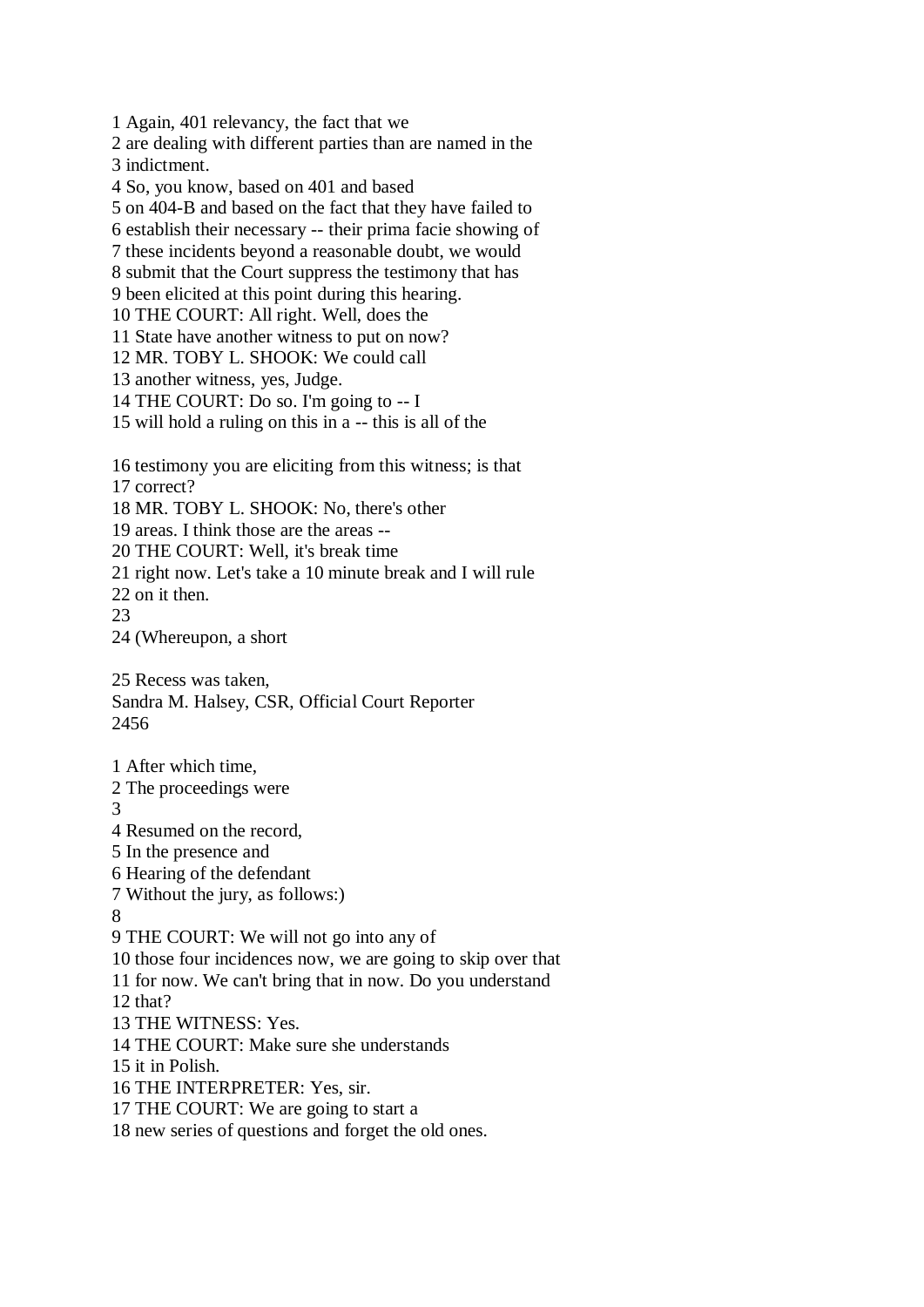1 Again, 401 relevancy, the fact that we 2 are dealing with different parties than are named in the 3 indictment. 4 So, you know, based on 401 and based 5 on 404-B and based on the fact that they have failed to 6 establish their necessary -- their prima facie showing of 7 these incidents beyond a reasonable doubt, we would 8 submit that the Court suppress the testimony that has 9 been elicited at this point during this hearing. 10 THE COURT: All right. Well, does the 11 State have another witness to put on now? 12 MR. TOBY L. SHOOK: We could call 13 another witness, yes, Judge. 14 THE COURT: Do so. I'm going to -- I 15 will hold a ruling on this in a -- this is all of the 16 testimony you are eliciting from this witness; is that 17 correct? 18 MR. TOBY L. SHOOK: No, there's other 19 areas. I think those are the areas -- 20 THE COURT: Well, it's break time 21 right now. Let's take a 10 minute break and I will rule 22 on it then. 23 24 (Whereupon, a short 25 Recess was taken, Sandra M. Halsey, CSR, Official Court Reporter 2456 1 After which time, 2 The proceedings were 3 4 Resumed on the record, 5 In the presence and 6 Hearing of the defendant 7 Without the jury, as follows:) 8 9 THE COURT: We will not go into any of 10 those four incidences now, we are going to skip over that 11 for now. We can't bring that in now. Do you understand 12 that? 13 THE WITNESS: Yes. 14 THE COURT: Make sure she understands 15 it in Polish. 16 THE INTERPRETER: Yes, sir. 17 THE COURT: We are going to start a 18 new series of questions and forget the old ones.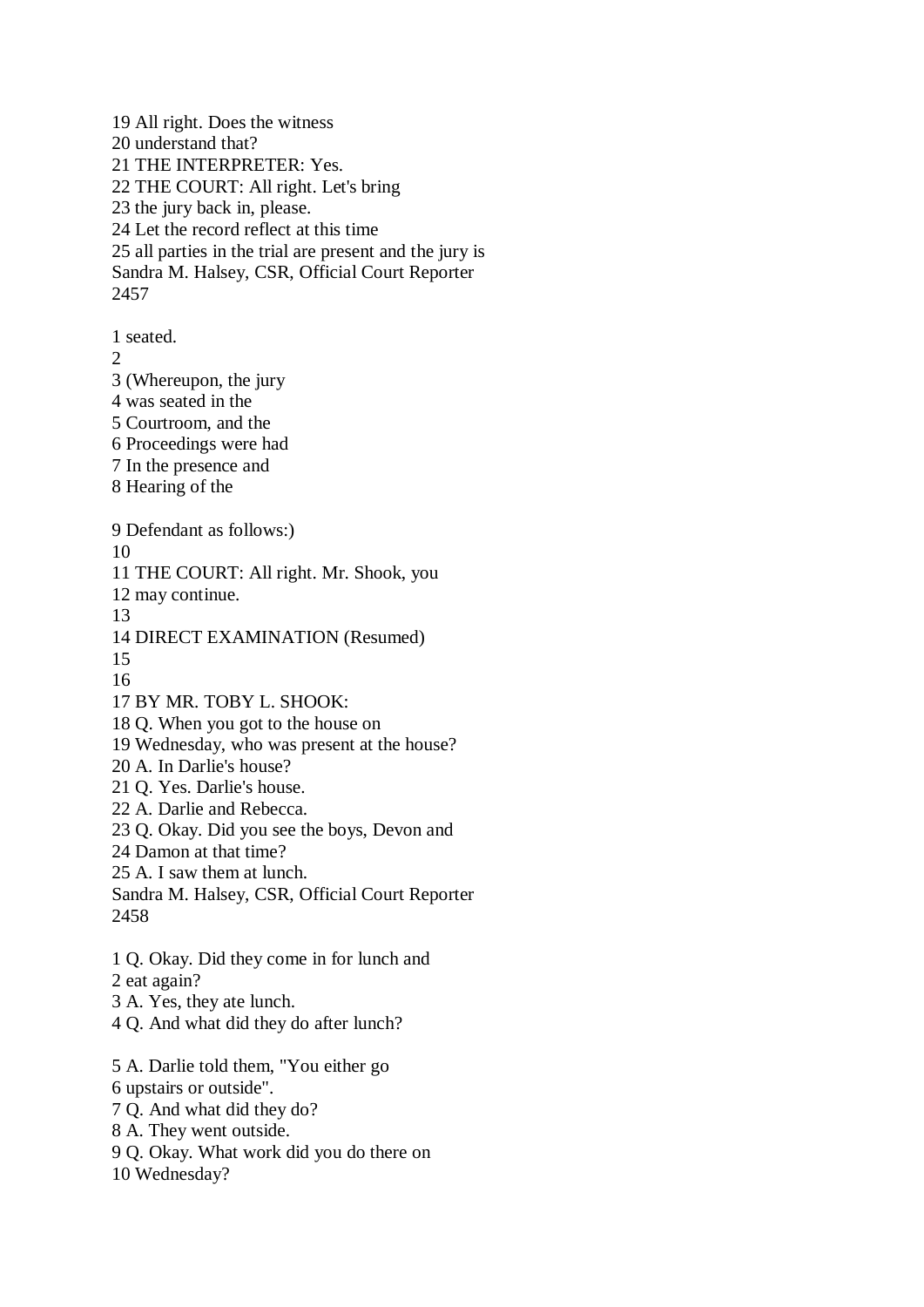19 All right. Does the witness 20 understand that? 21 THE INTERPRETER: Yes. 22 THE COURT: All right. Let's bring 23 the jury back in, please. 24 Let the record reflect at this time 25 all parties in the trial are present and the jury is Sandra M. Halsey, CSR, Official Court Reporter 2457 1 seated. 2

3 (Whereupon, the jury

4 was seated in the

5 Courtroom, and the

- 6 Proceedings were had
- 7 In the presence and
- 8 Hearing of the

9 Defendant as follows:)

10

11 THE COURT: All right. Mr. Shook, you

12 may continue.

13

14 DIRECT EXAMINATION (Resumed)

15

16

17 BY MR. TOBY L. SHOOK:

18 Q. When you got to the house on

19 Wednesday, who was present at the house?

20 A. In Darlie's house?

- 21 Q. Yes. Darlie's house.
- 22 A. Darlie and Rebecca.

23 Q. Okay. Did you see the boys, Devon and

24 Damon at that time?

25 A. I saw them at lunch.

Sandra M. Halsey, CSR, Official Court Reporter 2458

1 Q. Okay. Did they come in for lunch and

2 eat again?

- 3 A. Yes, they ate lunch.
- 4 Q. And what did they do after lunch?
- 5 A. Darlie told them, "You either go
- 6 upstairs or outside".
- 7 Q. And what did they do?
- 8 A. They went outside.
- 9 Q. Okay. What work did you do there on

10 Wednesday?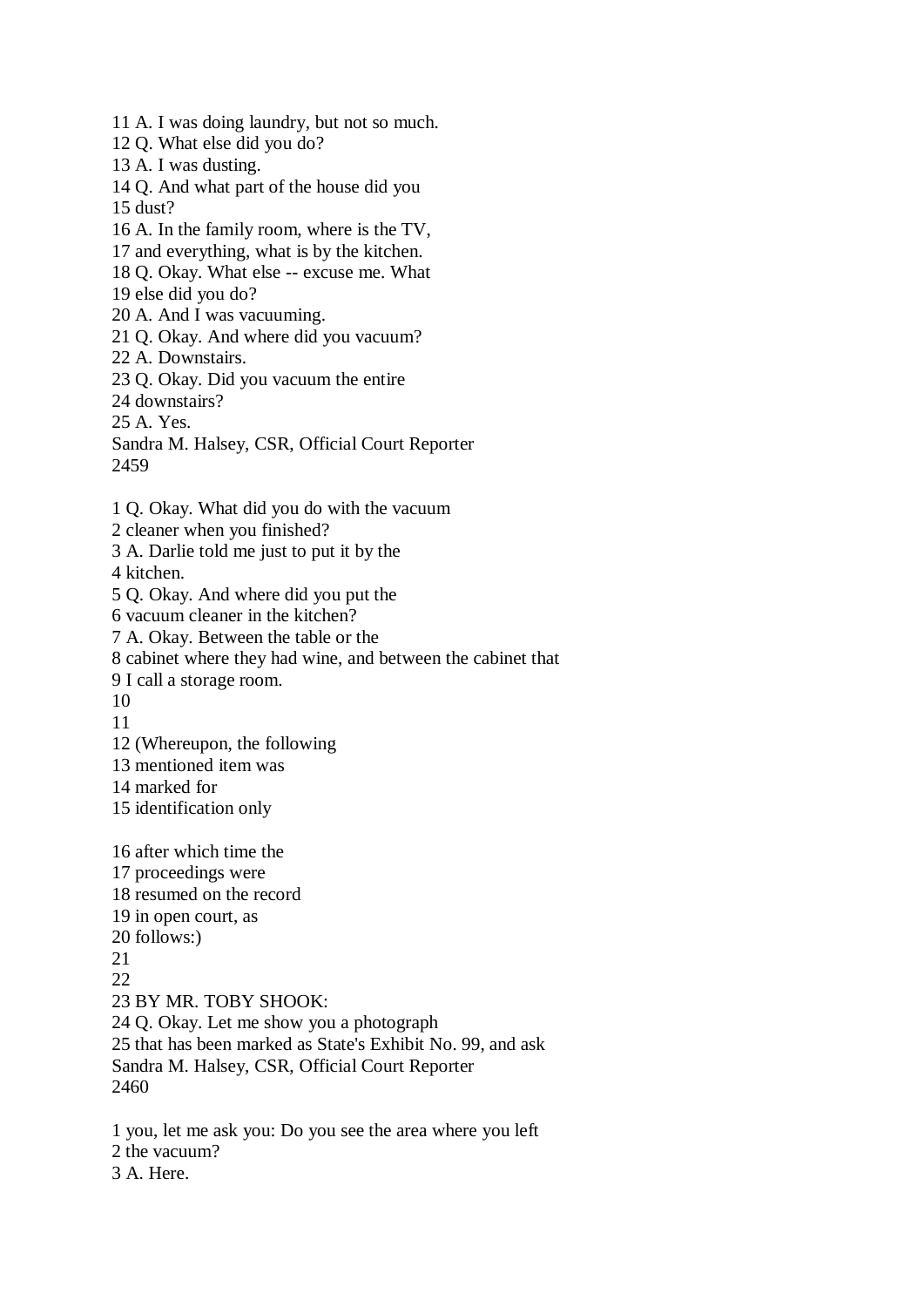11 A. I was doing laundry, but not so much. 12 Q. What else did you do? 13 A. I was dusting. 14 Q. And what part of the house did you 15 dust? 16 A. In the family room, where is the TV, 17 and everything, what is by the kitchen. 18 Q. Okay. What else -- excuse me. What 19 else did you do? 20 A. And I was vacuuming. 21 Q. Okay. And where did you vacuum? 22 A. Downstairs. 23 Q. Okay. Did you vacuum the entire 24 downstairs? 25 A. Yes. Sandra M. Halsey, CSR, Official Court Reporter 2459 1 Q. Okay. What did you do with the vacuum 2 cleaner when you finished? 3 A. Darlie told me just to put it by the 4 kitchen. 5 Q. Okay. And where did you put the 6 vacuum cleaner in the kitchen? 7 A. Okay. Between the table or the 8 cabinet where they had wine, and between the cabinet that 9 I call a storage room. 10 11 12 (Whereupon, the following 13 mentioned item was 14 marked for 15 identification only 16 after which time the 17 proceedings were 18 resumed on the record 19 in open court, as 20 follows:) 21  $22$ 23 BY MR. TOBY SHOOK: 24 Q. Okay. Let me show you a photograph 25 that has been marked as State's Exhibit No. 99, and ask Sandra M. Halsey, CSR, Official Court Reporter 2460 1 you, let me ask you: Do you see the area where you left 2 the vacuum? 3 A. Here.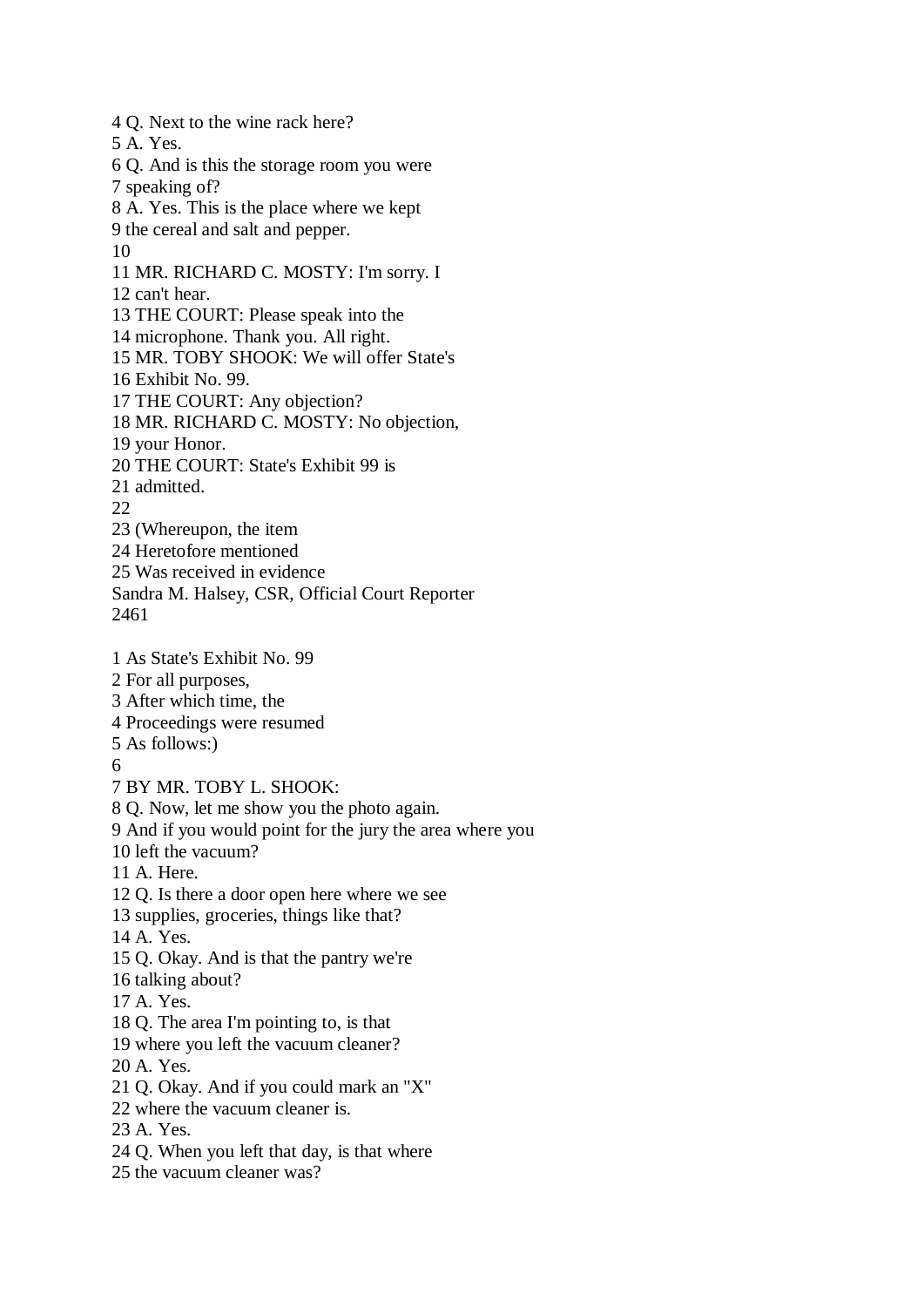4 Q. Next to the wine rack here? 5 A. Yes. 6 Q. And is this the storage room you were 7 speaking of? 8 A. Yes. This is the place where we kept 9 the cereal and salt and pepper. 10 11 MR. RICHARD C. MOSTY: I'm sorry. I 12 can't hear. 13 THE COURT: Please speak into the 14 microphone. Thank you. All right. 15 MR. TOBY SHOOK: We will offer State's 16 Exhibit No. 99. 17 THE COURT: Any objection? 18 MR. RICHARD C. MOSTY: No objection, 19 your Honor. 20 THE COURT: State's Exhibit 99 is 21 admitted. 22 23 (Whereupon, the item 24 Heretofore mentioned 25 Was received in evidence Sandra M. Halsey, CSR, Official Court Reporter 2461 1 As State's Exhibit No. 99 2 For all purposes, 3 After which time, the 4 Proceedings were resumed 5 As follows:) 6 7 BY MR. TOBY L. SHOOK: 8 Q. Now, let me show you the photo again. 9 And if you would point for the jury the area where you 10 left the vacuum? 11 A. Here. 12 Q. Is there a door open here where we see 13 supplies, groceries, things like that? 14 A. Yes. 15 Q. Okay. And is that the pantry we're 16 talking about? 17 A. Yes. 18 Q. The area I'm pointing to, is that 19 where you left the vacuum cleaner? 20 A. Yes. 21 Q. Okay. And if you could mark an "X" 22 where the vacuum cleaner is. 23 A. Yes. 24 Q. When you left that day, is that where 25 the vacuum cleaner was?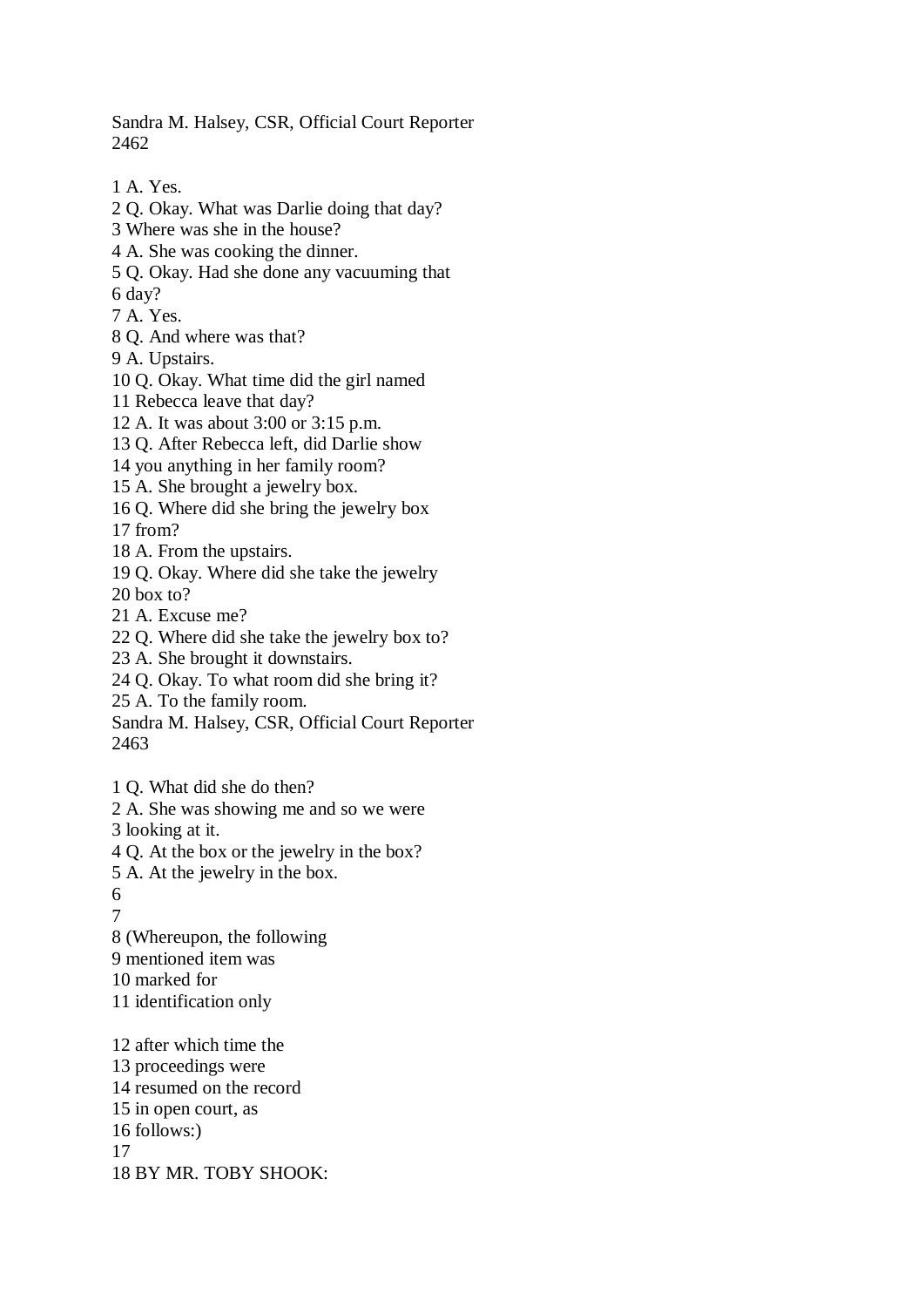Sandra M. Halsey, CSR, Official Court Reporter 2462

- 1 A. Yes.
- 2 Q. Okay. What was Darlie doing that day?
- 3 Where was she in the house?
- 4 A. She was cooking the dinner.
- 5 Q. Okay. Had she done any vacuuming that
- 6 day?
- 7 A. Yes.
- 8 Q. And where was that?
- 9 A. Upstairs.
- 10 Q. Okay. What time did the girl named
- 11 Rebecca leave that day?
- 12 A. It was about 3:00 or 3:15 p.m.
- 13 Q. After Rebecca left, did Darlie show
- 14 you anything in her family room?
- 15 A. She brought a jewelry box.
- 16 Q. Where did she bring the jewelry box
- 17 from?
- 18 A. From the upstairs.
- 19 Q. Okay. Where did she take the jewelry 20 box to?
- 21 A. Excuse me?
- 22 Q. Where did she take the jewelry box to?
- 23 A. She brought it downstairs.
- 24 Q. Okay. To what room did she bring it?
- 25 A. To the family room.
- Sandra M. Halsey, CSR, Official Court Reporter 2463
- 1 Q. What did she do then?
- 2 A. She was showing me and so we were
- 3 looking at it.
- 4 Q. At the box or the jewelry in the box?
- 5 A. At the jewelry in the box.
- 6
- 7
- 8 (Whereupon, the following
- 9 mentioned item was
- 10 marked for
- 11 identification only
- 12 after which time the 13 proceedings were 14 resumed on the record 15 in open court, as 16 follows:) 17 18 BY MR. TOBY SHOOK: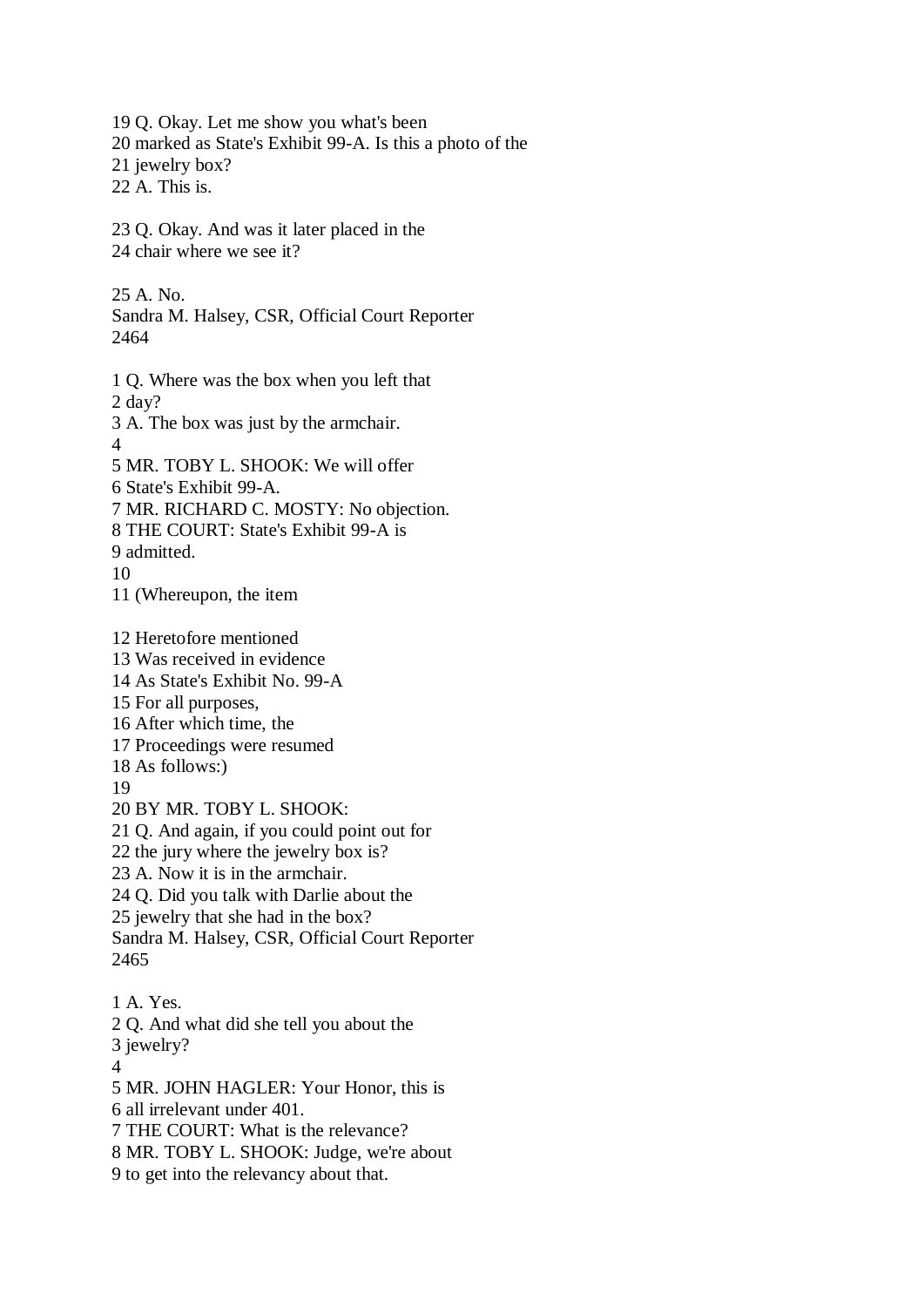19 Q. Okay. Let me show you what's been 20 marked as State's Exhibit 99-A. Is this a photo of the 21 jewelry box? 22 A. This is. 23 Q. Okay. And was it later placed in the 24 chair where we see it? 25 A. No. Sandra M. Halsey, CSR, Official Court Reporter 2464 1 Q. Where was the box when you left that 2 day? 3 A. The box was just by the armchair. 4 5 MR. TOBY L. SHOOK: We will offer 6 State's Exhibit 99-A. 7 MR. RICHARD C. MOSTY: No objection. 8 THE COURT: State's Exhibit 99-A is 9 admitted. 10 11 (Whereupon, the item 12 Heretofore mentioned 13 Was received in evidence 14 As State's Exhibit No. 99-A 15 For all purposes, 16 After which time, the 17 Proceedings were resumed 18 As follows:) 19 20 BY MR. TOBY L. SHOOK: 21 Q. And again, if you could point out for 22 the jury where the jewelry box is? 23 A. Now it is in the armchair. 24 Q. Did you talk with Darlie about the 25 jewelry that she had in the box? Sandra M. Halsey, CSR, Official Court Reporter 2465 1 A. Yes. 2 Q. And what did she tell you about the 3 jewelry? 4 5 MR. JOHN HAGLER: Your Honor, this is 6 all irrelevant under 401. 7 THE COURT: What is the relevance? 8 MR. TOBY L. SHOOK: Judge, we're about

9 to get into the relevancy about that.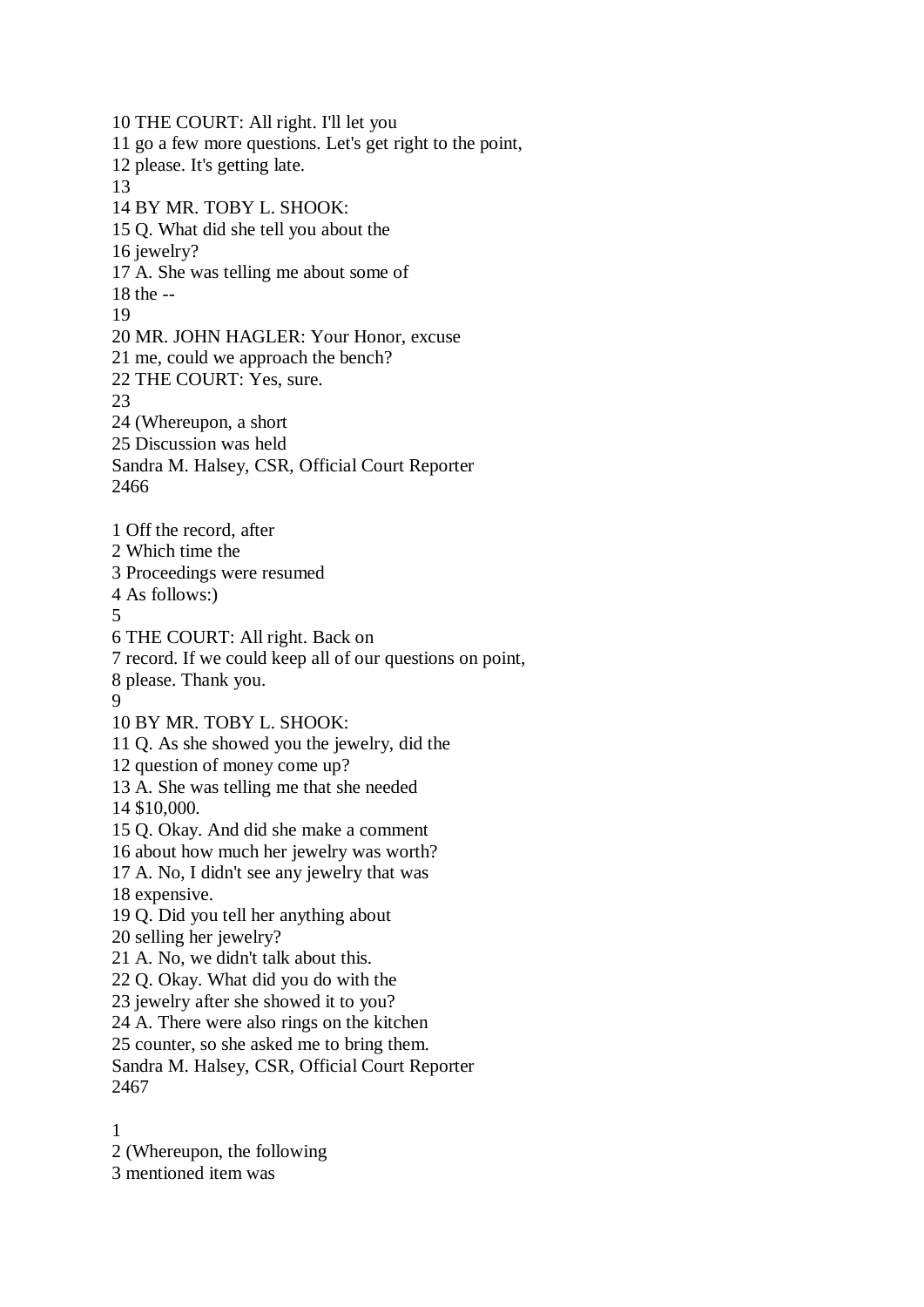10 THE COURT: All right. I'll let you 11 go a few more questions. Let's get right to the point, 12 please. It's getting late. 13 14 BY MR. TOBY L. SHOOK: 15 Q. What did she tell you about the 16 jewelry? 17 A. She was telling me about some of 18 the -- 19 20 MR. JOHN HAGLER: Your Honor, excuse 21 me, could we approach the bench? 22 THE COURT: Yes, sure. 23 24 (Whereupon, a short 25 Discussion was held Sandra M. Halsey, CSR, Official Court Reporter 2466 1 Off the record, after 2 Which time the 3 Proceedings were resumed 4 As follows:) 5 6 THE COURT: All right. Back on 7 record. If we could keep all of our questions on point, 8 please. Thank you. 9 10 BY MR. TOBY L. SHOOK: 11 Q. As she showed you the jewelry, did the 12 question of money come up? 13 A. She was telling me that she needed 14 \$10,000. 15 Q. Okay. And did she make a comment 16 about how much her jewelry was worth? 17 A. No, I didn't see any jewelry that was 18 expensive. 19 Q. Did you tell her anything about 20 selling her jewelry? 21 A. No, we didn't talk about this. 22 Q. Okay. What did you do with the 23 jewelry after she showed it to you? 24 A. There were also rings on the kitchen 25 counter, so she asked me to bring them. Sandra M. Halsey, CSR, Official Court Reporter 2467

1

2 (Whereupon, the following

3 mentioned item was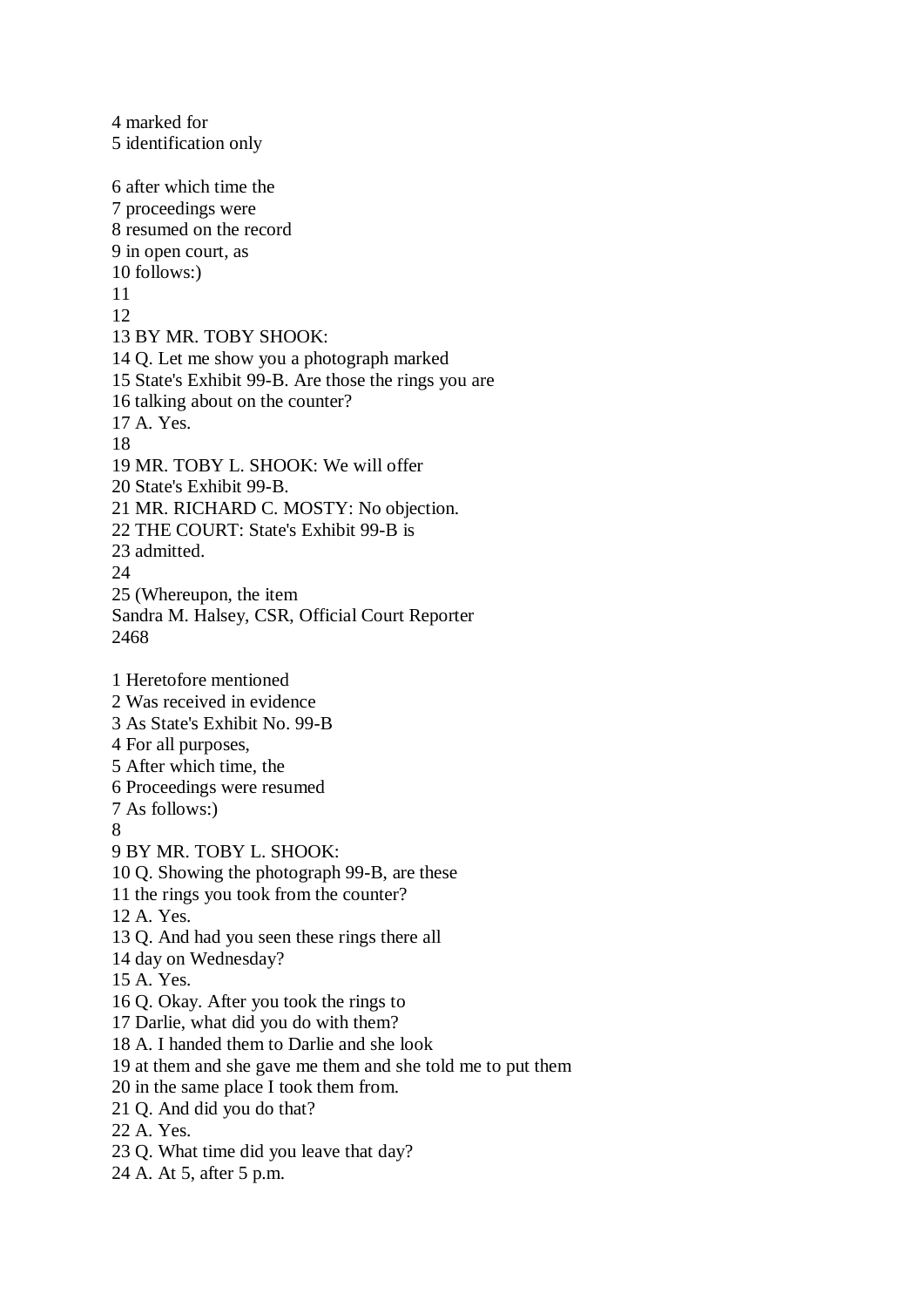4 marked for 5 identification only 6 after which time the 7 proceedings were 8 resumed on the record 9 in open court, as 10 follows:) 11 12 13 BY MR. TOBY SHOOK: 14 Q. Let me show you a photograph marked 15 State's Exhibit 99-B. Are those the rings you are 16 talking about on the counter? 17 A. Yes. 18 19 MR. TOBY L. SHOOK: We will offer 20 State's Exhibit 99-B. 21 MR. RICHARD C. MOSTY: No objection. 22 THE COURT: State's Exhibit 99-B is 23 admitted.  $24$ 25 (Whereupon, the item Sandra M. Halsey, CSR, Official Court Reporter 2468 1 Heretofore mentioned 2 Was received in evidence 3 As State's Exhibit No. 99-B 4 For all purposes, 5 After which time, the 6 Proceedings were resumed 7 As follows:) 8 9 BY MR. TOBY L. SHOOK: 10 Q. Showing the photograph 99-B, are these 11 the rings you took from the counter? 12 A. Yes. 13 Q. And had you seen these rings there all 14 day on Wednesday? 15 A. Yes. 16 Q. Okay. After you took the rings to 17 Darlie, what did you do with them? 18 A. I handed them to Darlie and she look 19 at them and she gave me them and she told me to put them 20 in the same place I took them from. 21 Q. And did you do that? 22 A. Yes. 23 Q. What time did you leave that day? 24 A. At 5, after 5 p.m.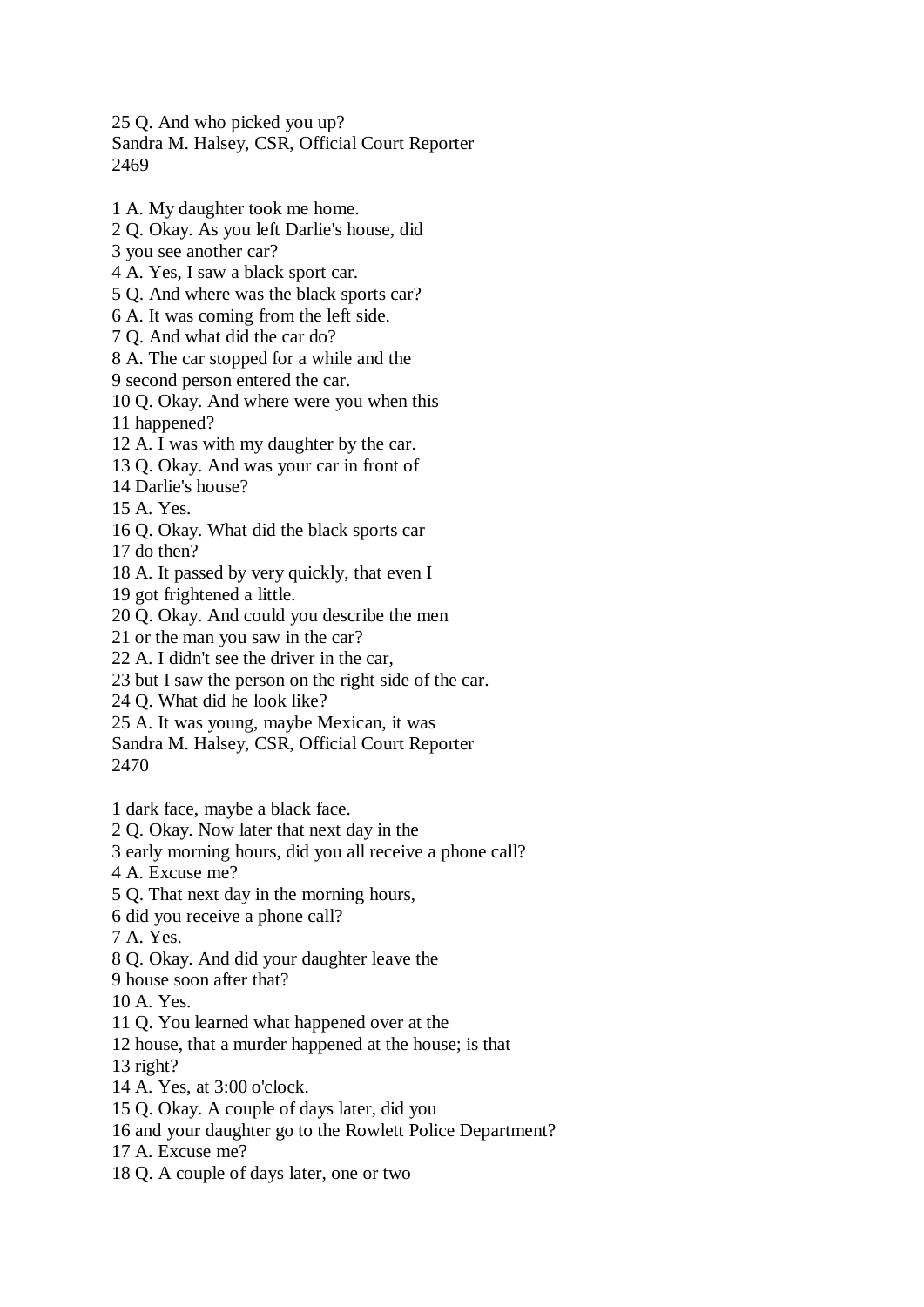25 Q. And who picked you up? Sandra M. Halsey, CSR, Official Court Reporter 2469

1 A. My daughter took me home.

2 Q. Okay. As you left Darlie's house, did

3 you see another car?

4 A. Yes, I saw a black sport car.

5 Q. And where was the black sports car?

6 A. It was coming from the left side.

7 Q. And what did the car do?

8 A. The car stopped for a while and the

9 second person entered the car.

10 Q. Okay. And where were you when this

11 happened?

12 A. I was with my daughter by the car.

13 Q. Okay. And was your car in front of

14 Darlie's house?

15 A. Yes.

16 Q. Okay. What did the black sports car

17 do then?

18 A. It passed by very quickly, that even I

19 got frightened a little.

20 Q. Okay. And could you describe the men

21 or the man you saw in the car?

22 A. I didn't see the driver in the car,

23 but I saw the person on the right side of the car.

24 Q. What did he look like?

25 A. It was young, maybe Mexican, it was

Sandra M. Halsey, CSR, Official Court Reporter 2470

1 dark face, maybe a black face.

2 Q. Okay. Now later that next day in the

3 early morning hours, did you all receive a phone call?

4 A. Excuse me?

5 Q. That next day in the morning hours,

6 did you receive a phone call?

7 A. Yes.

8 Q. Okay. And did your daughter leave the

9 house soon after that?

10 A. Yes.

11 Q. You learned what happened over at the

12 house, that a murder happened at the house; is that

13 right?

14 A. Yes, at 3:00 o'clock.

15 Q. Okay. A couple of days later, did you

16 and your daughter go to the Rowlett Police Department?

17 A. Excuse me?

18 Q. A couple of days later, one or two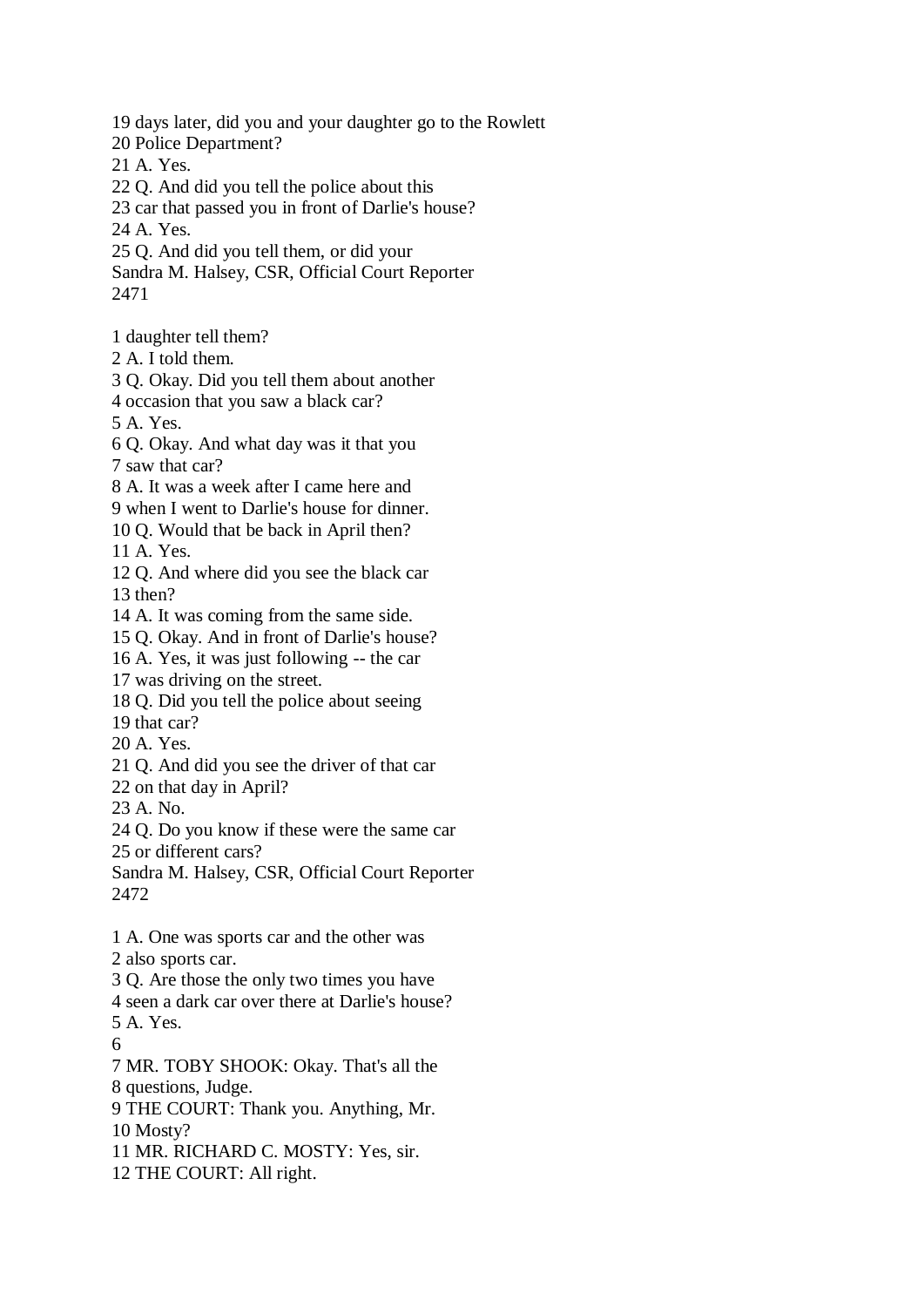19 days later, did you and your daughter go to the Rowlett 20 Police Department? 21 A. Yes. 22 Q. And did you tell the police about this 23 car that passed you in front of Darlie's house? 24 A. Yes. 25 Q. And did you tell them, or did your Sandra M. Halsey, CSR, Official Court Reporter 2471 1 daughter tell them? 2 A. I told them. 3 Q. Okay. Did you tell them about another 4 occasion that you saw a black car? 5 A. Yes. 6 Q. Okay. And what day was it that you 7 saw that car? 8 A. It was a week after I came here and 9 when I went to Darlie's house for dinner. 10 Q. Would that be back in April then? 11 A. Yes. 12 Q. And where did you see the black car 13 then? 14 A. It was coming from the same side. 15 Q. Okay. And in front of Darlie's house? 16 A. Yes, it was just following -- the car 17 was driving on the street. 18 Q. Did you tell the police about seeing 19 that car? 20 A. Yes. 21 Q. And did you see the driver of that car 22 on that day in April? 23 A. No. 24 Q. Do you know if these were the same car 25 or different cars? Sandra M. Halsey, CSR, Official Court Reporter 2472 1 A. One was sports car and the other was 2 also sports car. 3 Q. Are those the only two times you have 4 seen a dark car over there at Darlie's house? 5 A. Yes. 6 7 MR. TOBY SHOOK: Okay. That's all the 8 questions, Judge. 9 THE COURT: Thank you. Anything, Mr. 10 Mosty? 11 MR. RICHARD C. MOSTY: Yes, sir. 12 THE COURT: All right.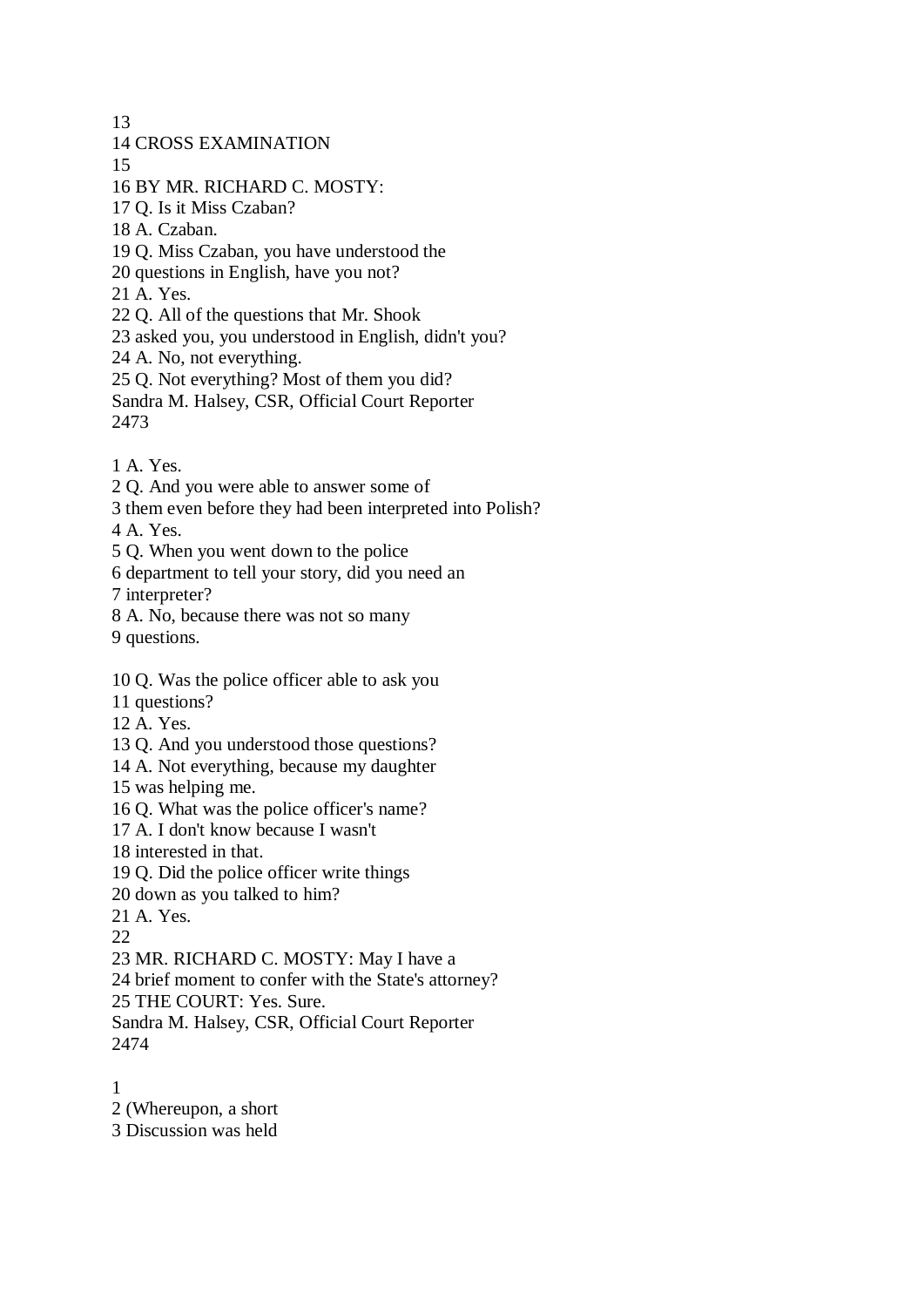13 14 CROSS EXAMINATION 15 16 BY MR. RICHARD C. MOSTY: 17 Q. Is it Miss Czaban? 18 A. Czaban. 19 Q. Miss Czaban, you have understood the 20 questions in English, have you not? 21 A. Yes. 22 Q. All of the questions that Mr. Shook 23 asked you, you understood in English, didn't you? 24 A. No, not everything. 25 Q. Not everything? Most of them you did? Sandra M. Halsey, CSR, Official Court Reporter 2473

- 1 A. Yes.
- 2 Q. And you were able to answer some of
- 3 them even before they had been interpreted into Polish?

4 A. Yes.

- 5 Q. When you went down to the police
- 6 department to tell your story, did you need an

7 interpreter?

8 A. No, because there was not so many

9 questions.

10 Q. Was the police officer able to ask you

11 questions?

12 A. Yes.

13 Q. And you understood those questions?

14 A. Not everything, because my daughter

15 was helping me.

16 Q. What was the police officer's name?

17 A. I don't know because I wasn't

18 interested in that.

19 Q. Did the police officer write things

- 20 down as you talked to him?
- 21 A. Yes.

22

23 MR. RICHARD C. MOSTY: May I have a

24 brief moment to confer with the State's attorney?

25 THE COURT: Yes. Sure.

Sandra M. Halsey, CSR, Official Court Reporter 2474

1

2 (Whereupon, a short

3 Discussion was held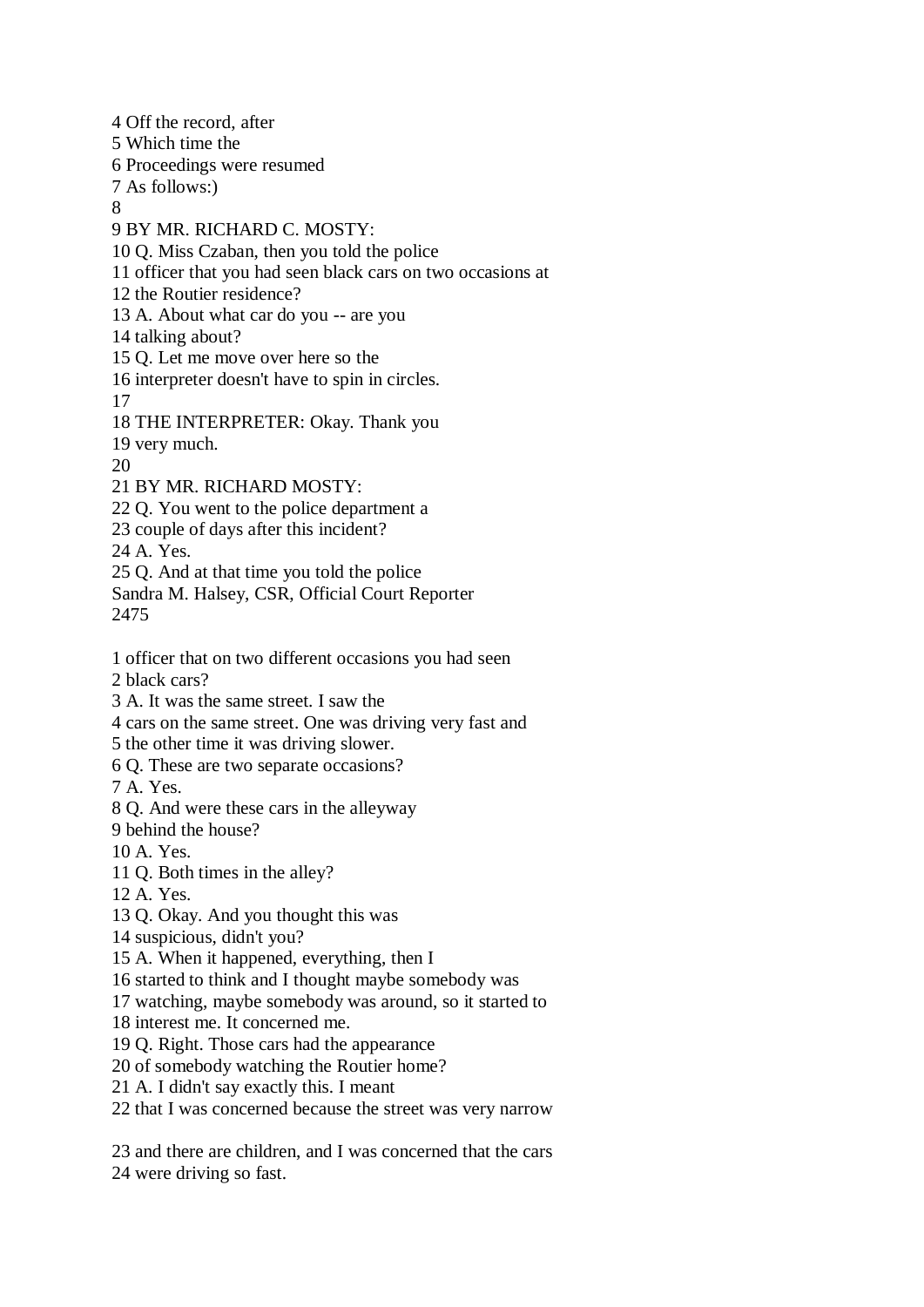5 Which time the 6 Proceedings were resumed 7 As follows:) 8 9 BY MR. RICHARD C. MOSTY: 10 Q. Miss Czaban, then you told the police 11 officer that you had seen black cars on two occasions at 12 the Routier residence? 13 A. About what car do you -- are you 14 talking about? 15 Q. Let me move over here so the 16 interpreter doesn't have to spin in circles. 17 18 THE INTERPRETER: Okay. Thank you 19 very much. 20 21 BY MR. RICHARD MOSTY: 22 Q. You went to the police department a 23 couple of days after this incident? 24 A. Yes. 25 Q. And at that time you told the police Sandra M. Halsey, CSR, Official Court Reporter 2475 1 officer that on two different occasions you had seen 2 black cars? 3 A. It was the same street. I saw the 4 cars on the same street. One was driving very fast and 5 the other time it was driving slower. 6 Q. These are two separate occasions? 7 A. Yes. 8 Q. And were these cars in the alleyway 9 behind the house? 10 A. Yes. 11 Q. Both times in the alley? 12 A. Yes. 13 Q. Okay. And you thought this was 14 suspicious, didn't you? 15 A. When it happened, everything, then I 16 started to think and I thought maybe somebody was 17 watching, maybe somebody was around, so it started to 18 interest me. It concerned me. 19 Q. Right. Those cars had the appearance 20 of somebody watching the Routier home? 21 A. I didn't say exactly this. I meant 22 that I was concerned because the street was very narrow 23 and there are children, and I was concerned that the cars

4 Off the record, after

24 were driving so fast.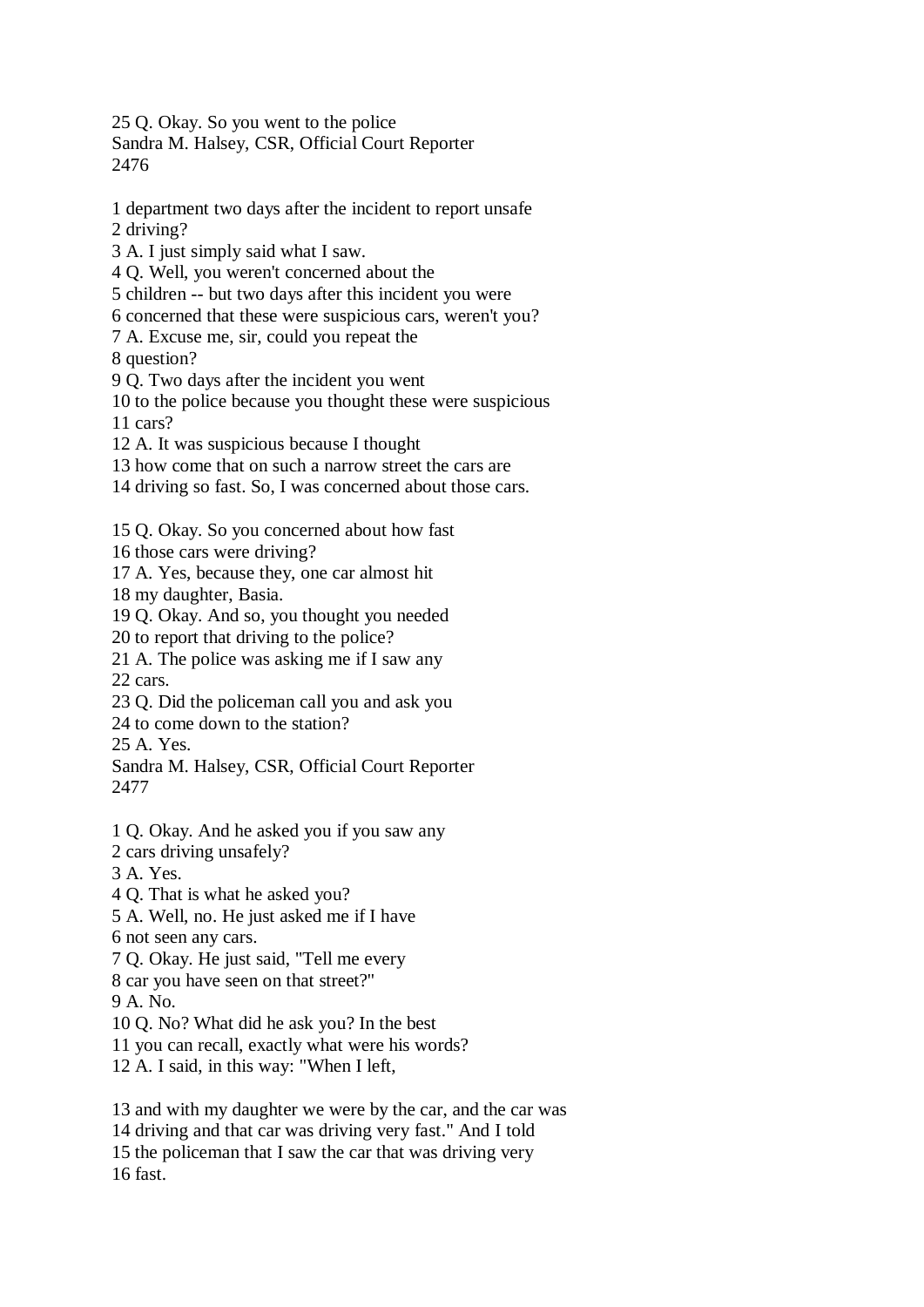25 Q. Okay. So you went to the police

Sandra M. Halsey, CSR, Official Court Reporter 2476

1 department two days after the incident to report unsafe 2 driving? 3 A. I just simply said what I saw. 4 Q. Well, you weren't concerned about the 5 children -- but two days after this incident you were 6 concerned that these were suspicious cars, weren't you? 7 A. Excuse me, sir, could you repeat the 8 question? 9 Q. Two days after the incident you went 10 to the police because you thought these were suspicious 11 cars?

12 A. It was suspicious because I thought

13 how come that on such a narrow street the cars are

14 driving so fast. So, I was concerned about those cars.

15 Q. Okay. So you concerned about how fast

16 those cars were driving?

17 A. Yes, because they, one car almost hit

18 my daughter, Basia.

19 Q. Okay. And so, you thought you needed

20 to report that driving to the police?

21 A. The police was asking me if I saw any 22 cars.

23 Q. Did the policeman call you and ask you

24 to come down to the station?

25 A. Yes.

Sandra M. Halsey, CSR, Official Court Reporter 2477

1 Q. Okay. And he asked you if you saw any

2 cars driving unsafely?

3 A. Yes.

4 Q. That is what he asked you?

5 A. Well, no. He just asked me if I have

6 not seen any cars.

7 Q. Okay. He just said, "Tell me every

8 car you have seen on that street?"

9 A. No.

10 Q. No? What did he ask you? In the best

11 you can recall, exactly what were his words?

12 A. I said, in this way: "When I left,

13 and with my daughter we were by the car, and the car was 14 driving and that car was driving very fast." And I told 15 the policeman that I saw the car that was driving very 16 fast.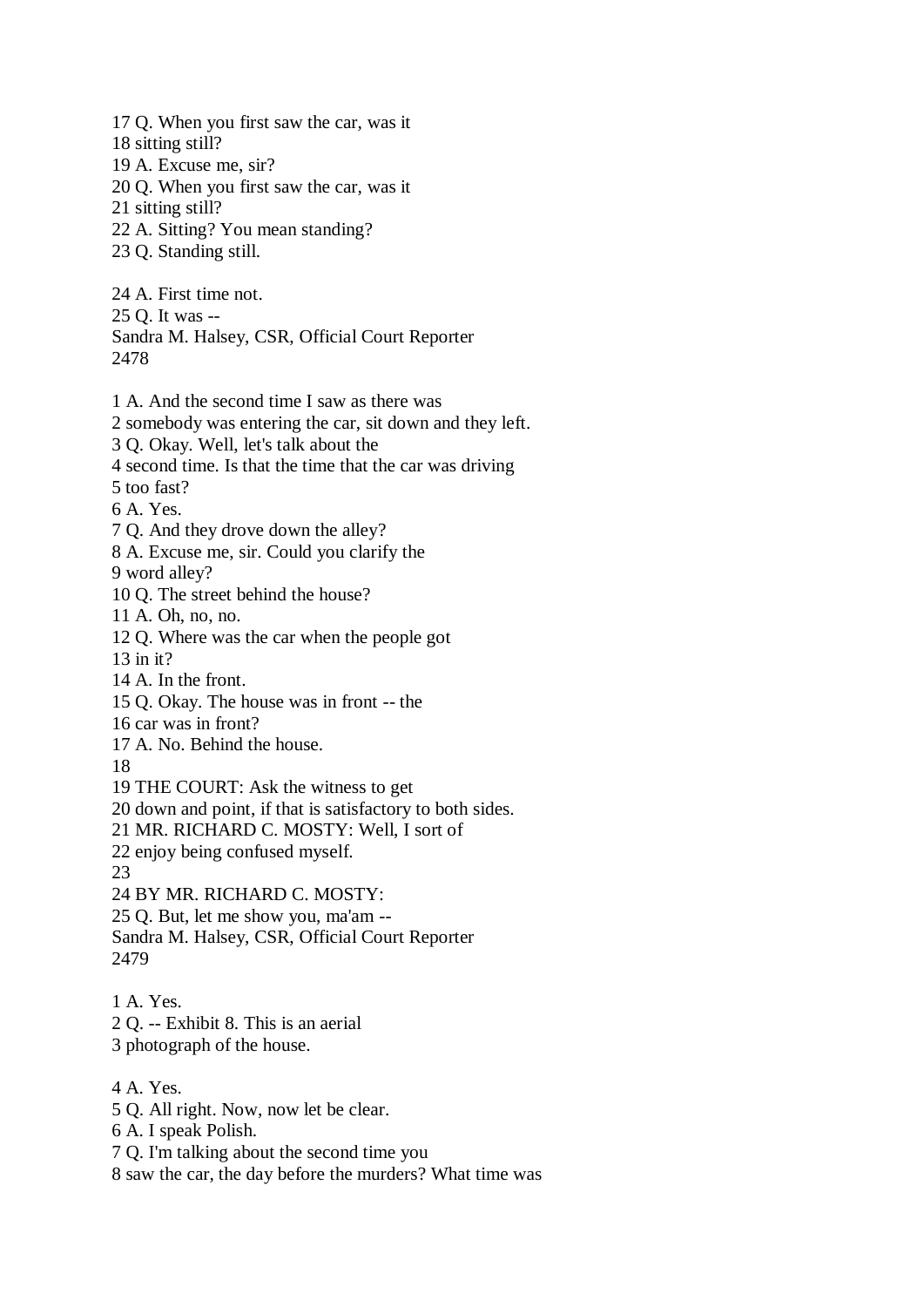17 Q. When you first saw the car, was it 18 sitting still? 19 A. Excuse me, sir? 20 Q. When you first saw the car, was it 21 sitting still? 22 A. Sitting? You mean standing? 23 Q. Standing still. 24 A. First time not. 25 Q. It was -- Sandra M. Halsey, CSR, Official Court Reporter 2478 1 A. And the second time I saw as there was 2 somebody was entering the car, sit down and they left. 3 Q. Okay. Well, let's talk about the 4 second time. Is that the time that the car was driving 5 too fast? 6 A. Yes. 7 Q. And they drove down the alley? 8 A. Excuse me, sir. Could you clarify the 9 word alley? 10 Q. The street behind the house? 11 A. Oh, no, no. 12 Q. Where was the car when the people got 13 in it? 14 A. In the front. 15 Q. Okay. The house was in front -- the 16 car was in front? 17 A. No. Behind the house. 18 19 THE COURT: Ask the witness to get 20 down and point, if that is satisfactory to both sides. 21 MR. RICHARD C. MOSTY: Well, I sort of 22 enjoy being confused myself. 23 24 BY MR. RICHARD C. MOSTY: 25 Q. But, let me show you, ma'am -- Sandra M. Halsey, CSR, Official Court Reporter 2479 1 A. Yes. 2 Q. -- Exhibit 8. This is an aerial 3 photograph of the house.

- 4 A. Yes.
- 5 Q. All right. Now, now let be clear.
- 6 A. I speak Polish.
- 7 Q. I'm talking about the second time you
- 8 saw the car, the day before the murders? What time was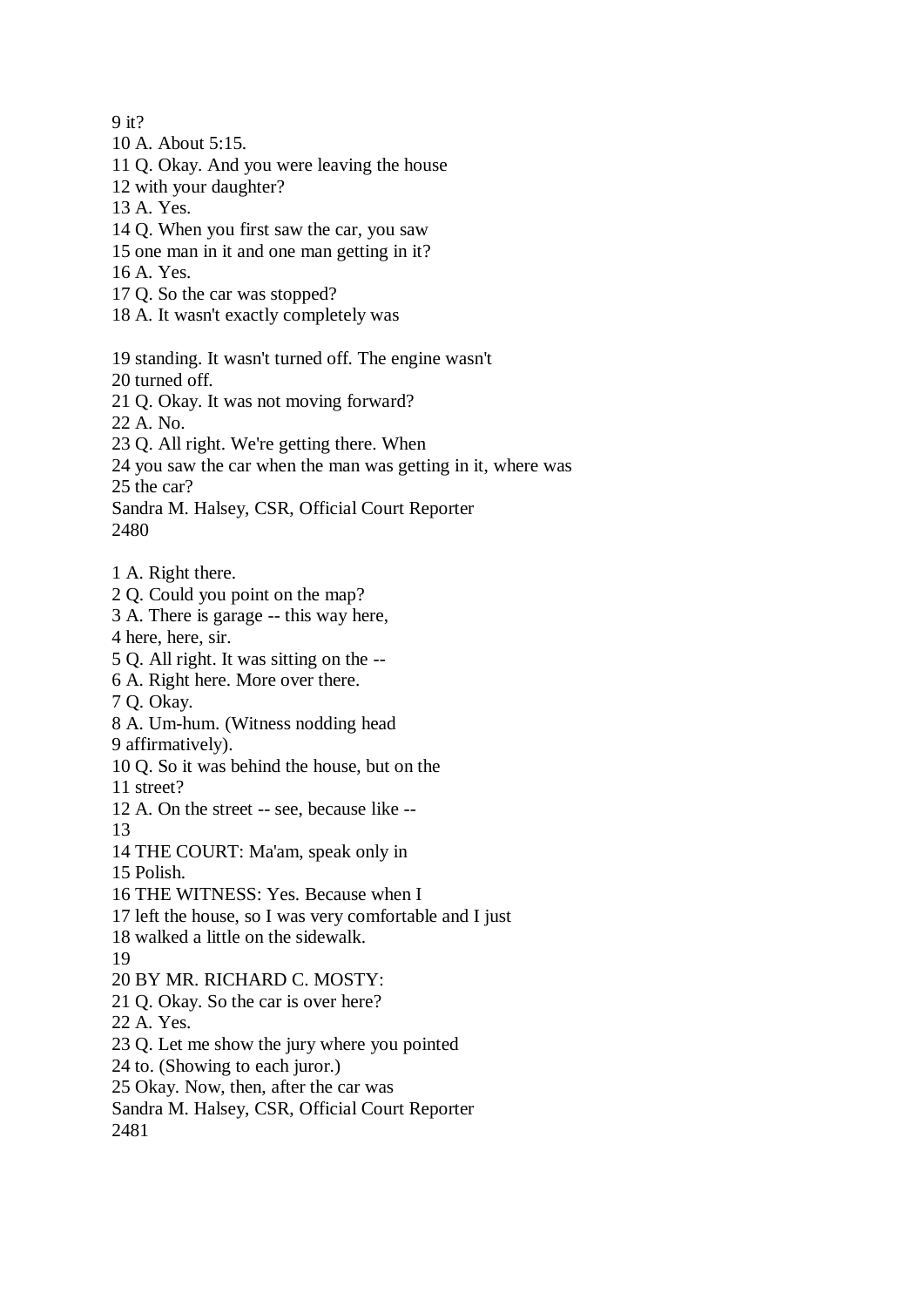9 it?

- 10 A. About 5:15.
- 11 Q. Okay. And you were leaving the house
- 12 with your daughter?
- 13 A. Yes.
- 14 Q. When you first saw the car, you saw
- 15 one man in it and one man getting in it?
- 16 A. Yes.
- 17 Q. So the car was stopped?
- 18 A. It wasn't exactly completely was

19 standing. It wasn't turned off. The engine wasn't

- 20 turned off.
- 21 Q. Okay. It was not moving forward?
- 22 A. No.
- 23 Q. All right. We're getting there. When
- 24 you saw the car when the man was getting in it, where was

25 the car?

Sandra M. Halsey, CSR, Official Court Reporter 2480

- 1 A. Right there.
- 2 Q. Could you point on the map?
- 3 A. There is garage -- this way here,
- 4 here, here, sir.
- 5 Q. All right. It was sitting on the --
- 6 A. Right here. More over there.
- 7 Q. Okay.
- 8 A. Um-hum. (Witness nodding head
- 9 affirmatively).
- 10 Q. So it was behind the house, but on the
- 11 street?
- 12 A. On the street -- see, because like --
- 13
- 14 THE COURT: Ma'am, speak only in
- 15 Polish.
- 16 THE WITNESS: Yes. Because when I
- 17 left the house, so I was very comfortable and I just
- 18 walked a little on the sidewalk.
- 19
- 20 BY MR. RICHARD C. MOSTY:
- 21 Q. Okay. So the car is over here?
- 22 A. Yes.
- 23 Q. Let me show the jury where you pointed
- 24 to. (Showing to each juror.)
- 25 Okay. Now, then, after the car was
- Sandra M. Halsey, CSR, Official Court Reporter
- 2481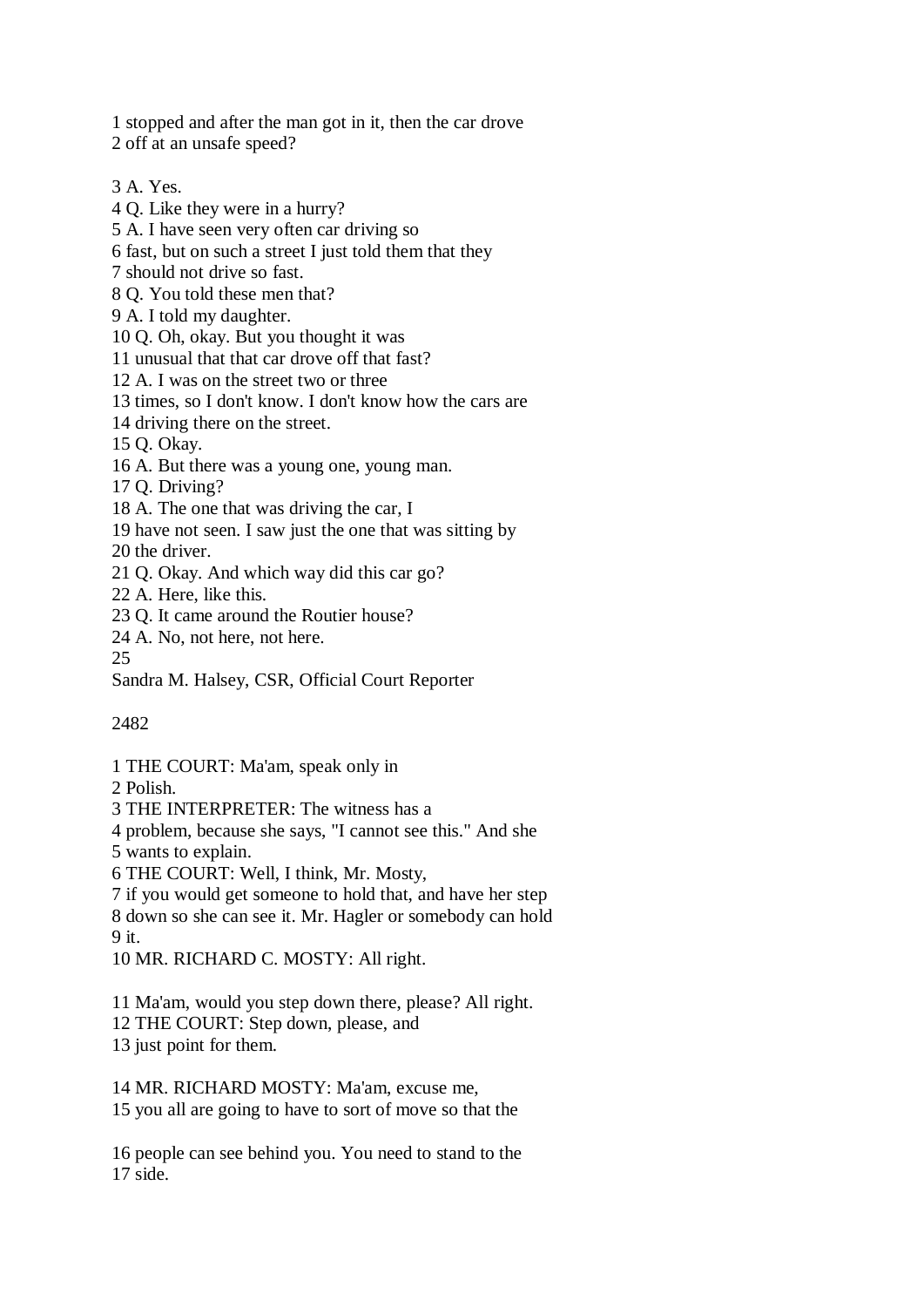1 stopped and after the man got in it, then the car drove 2 off at an unsafe speed?

3 A. Yes.

4 Q. Like they were in a hurry?

5 A. I have seen very often car driving so

6 fast, but on such a street I just told them that they

7 should not drive so fast.

8 Q. You told these men that?

9 A. I told my daughter.

10 Q. Oh, okay. But you thought it was

11 unusual that that car drove off that fast?

12 A. I was on the street two or three

13 times, so I don't know. I don't know how the cars are

14 driving there on the street.

15 Q. Okay.

16 A. But there was a young one, young man.

17 Q. Driving?

18 A. The one that was driving the car, I

19 have not seen. I saw just the one that was sitting by

20 the driver.

21 Q. Okay. And which way did this car go?

22 A. Here, like this.

23 Q. It came around the Routier house?

24 A. No, not here, not here.

25

Sandra M. Halsey, CSR, Official Court Reporter

2482

1 THE COURT: Ma'am, speak only in

2 Polish.

3 THE INTERPRETER: The witness has a

4 problem, because she says, "I cannot see this." And she

5 wants to explain.

6 THE COURT: Well, I think, Mr. Mosty,

7 if you would get someone to hold that, and have her step

8 down so she can see it. Mr. Hagler or somebody can hold

9 it.

10 MR. RICHARD C. MOSTY: All right.

11 Ma'am, would you step down there, please? All right.

12 THE COURT: Step down, please, and

13 just point for them.

14 MR. RICHARD MOSTY: Ma'am, excuse me, 15 you all are going to have to sort of move so that the

16 people can see behind you. You need to stand to the 17 side.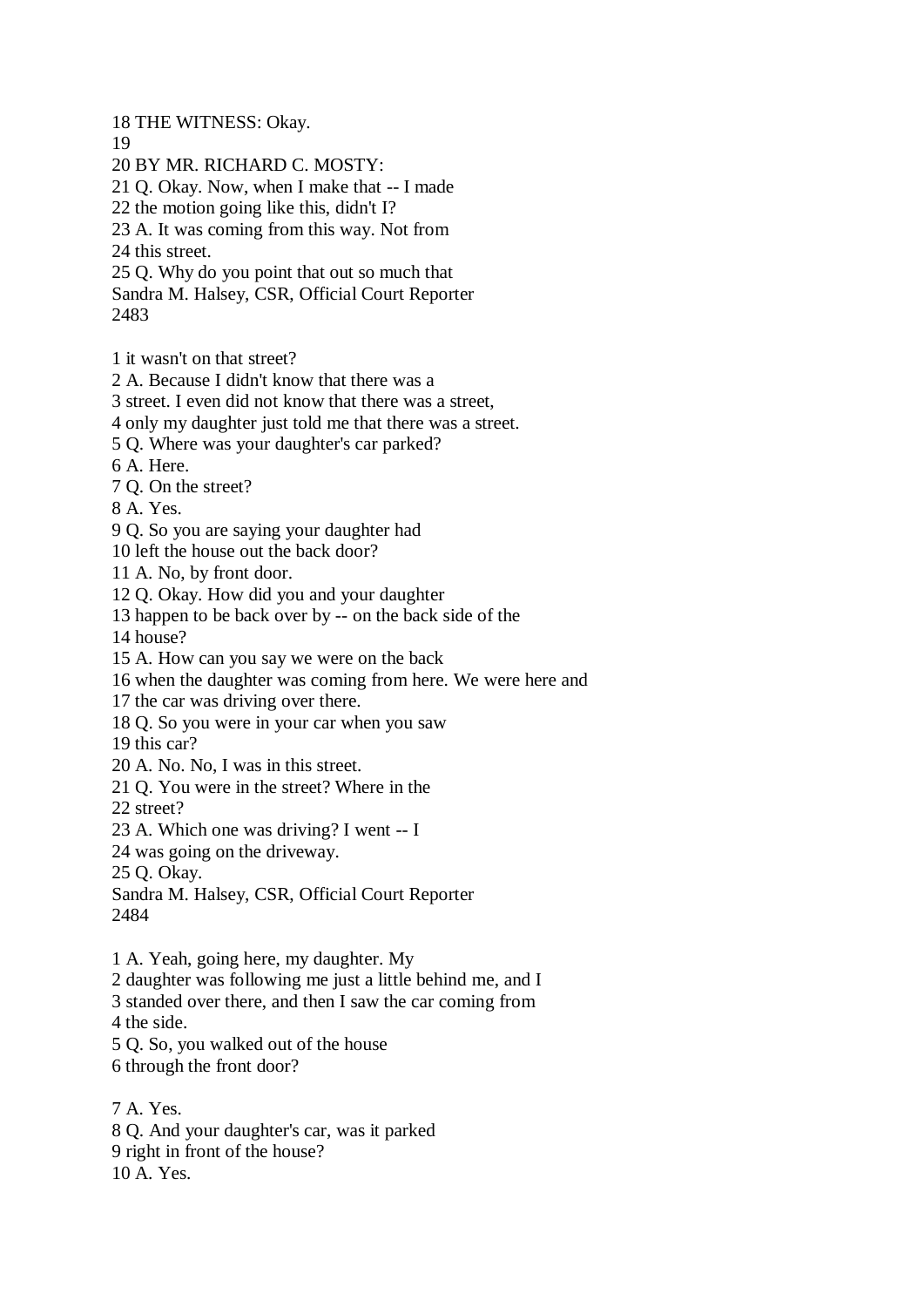18 THE WITNESS: Okay.

19

20 BY MR. RICHARD C. MOSTY:

21 Q. Okay. Now, when I make that -- I made

22 the motion going like this, didn't I?

23 A. It was coming from this way. Not from

24 this street.

25 Q. Why do you point that out so much that

Sandra M. Halsey, CSR, Official Court Reporter 2483

1 it wasn't on that street?

2 A. Because I didn't know that there was a

3 street. I even did not know that there was a street,

4 only my daughter just told me that there was a street.

5 Q. Where was your daughter's car parked?

6 A. Here.

7 Q. On the street?

8 A. Yes.

9 Q. So you are saying your daughter had

10 left the house out the back door?

11 A. No, by front door.

12 Q. Okay. How did you and your daughter

13 happen to be back over by -- on the back side of the

14 house?

15 A. How can you say we were on the back

16 when the daughter was coming from here. We were here and

17 the car was driving over there.

18 Q. So you were in your car when you saw

19 this car?

20 A. No. No, I was in this street.

21 Q. You were in the street? Where in the

22 street?

23 A. Which one was driving? I went -- I

24 was going on the driveway.

25 Q. Okay.

Sandra M. Halsey, CSR, Official Court Reporter 2484

1 A. Yeah, going here, my daughter. My

2 daughter was following me just a little behind me, and I

3 standed over there, and then I saw the car coming from

4 the side.

5 Q. So, you walked out of the house

6 through the front door?

7 A. Yes. 8 Q. And your daughter's car, was it parked 9 right in front of the house? 10 A. Yes.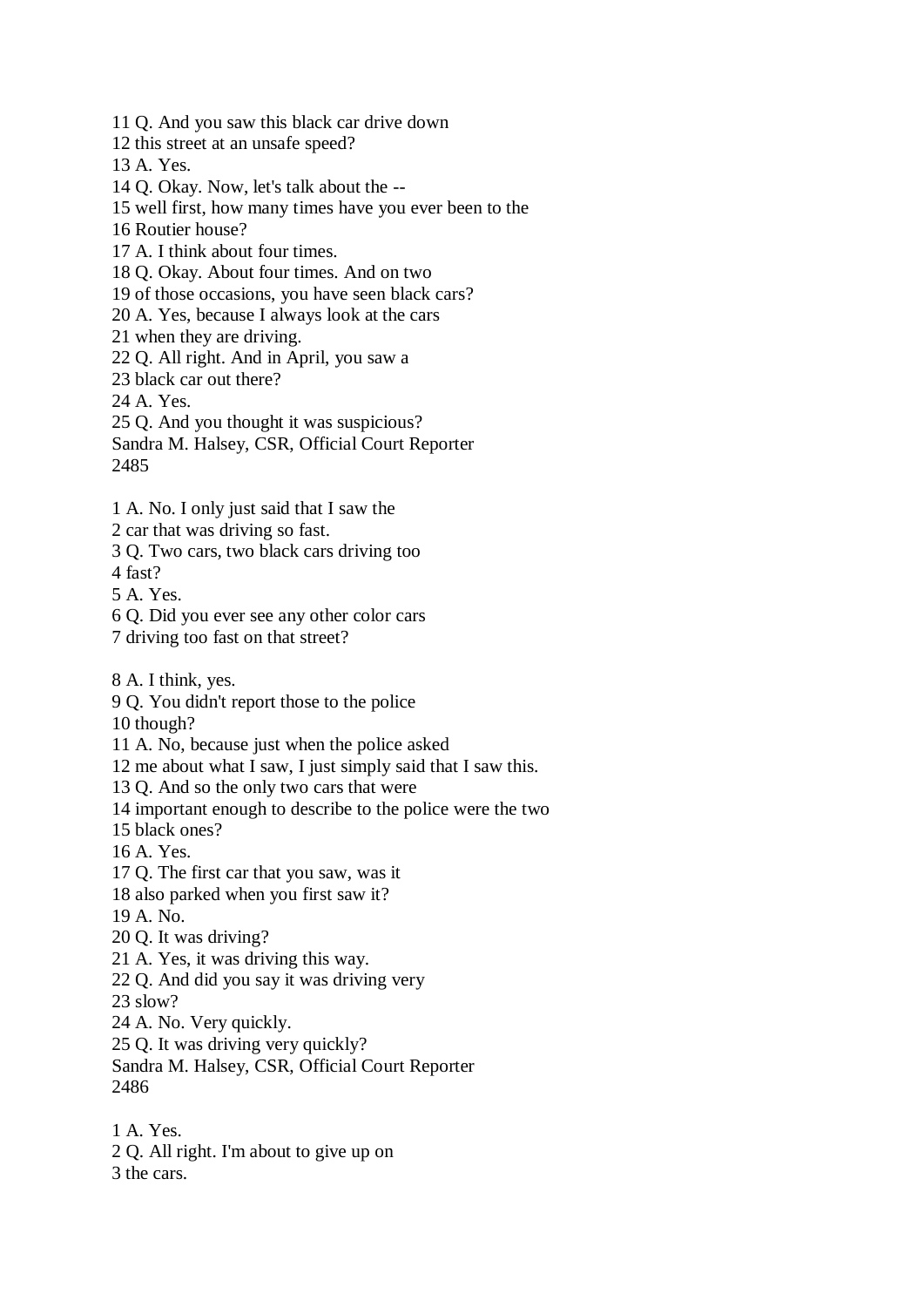11 Q. And you saw this black car drive down

12 this street at an unsafe speed?

13 A. Yes.

14 Q. Okay. Now, let's talk about the --

15 well first, how many times have you ever been to the

16 Routier house?

17 A. I think about four times.

18 Q. Okay. About four times. And on two

19 of those occasions, you have seen black cars?

20 A. Yes, because I always look at the cars

21 when they are driving.

22 Q. All right. And in April, you saw a

23 black car out there?

24 A. Yes.

25 Q. And you thought it was suspicious?

Sandra M. Halsey, CSR, Official Court Reporter 2485

1 A. No. I only just said that I saw the

2 car that was driving so fast.

3 Q. Two cars, two black cars driving too

4 fast?

5 A. Yes.

6 Q. Did you ever see any other color cars

7 driving too fast on that street?

8 A. I think, yes.

9 Q. You didn't report those to the police

10 though?

11 A. No, because just when the police asked

12 me about what I saw, I just simply said that I saw this.

13 Q. And so the only two cars that were

14 important enough to describe to the police were the two

15 black ones?

16 A. Yes.

17 Q. The first car that you saw, was it

18 also parked when you first saw it?

19 A. No.

20 Q. It was driving?

21 A. Yes, it was driving this way.

22 Q. And did you say it was driving very

23 slow?

24 A. No. Very quickly.

25 Q. It was driving very quickly?

Sandra M. Halsey, CSR, Official Court Reporter 2486

1 A. Yes. 2 Q. All right. I'm about to give up on 3 the cars.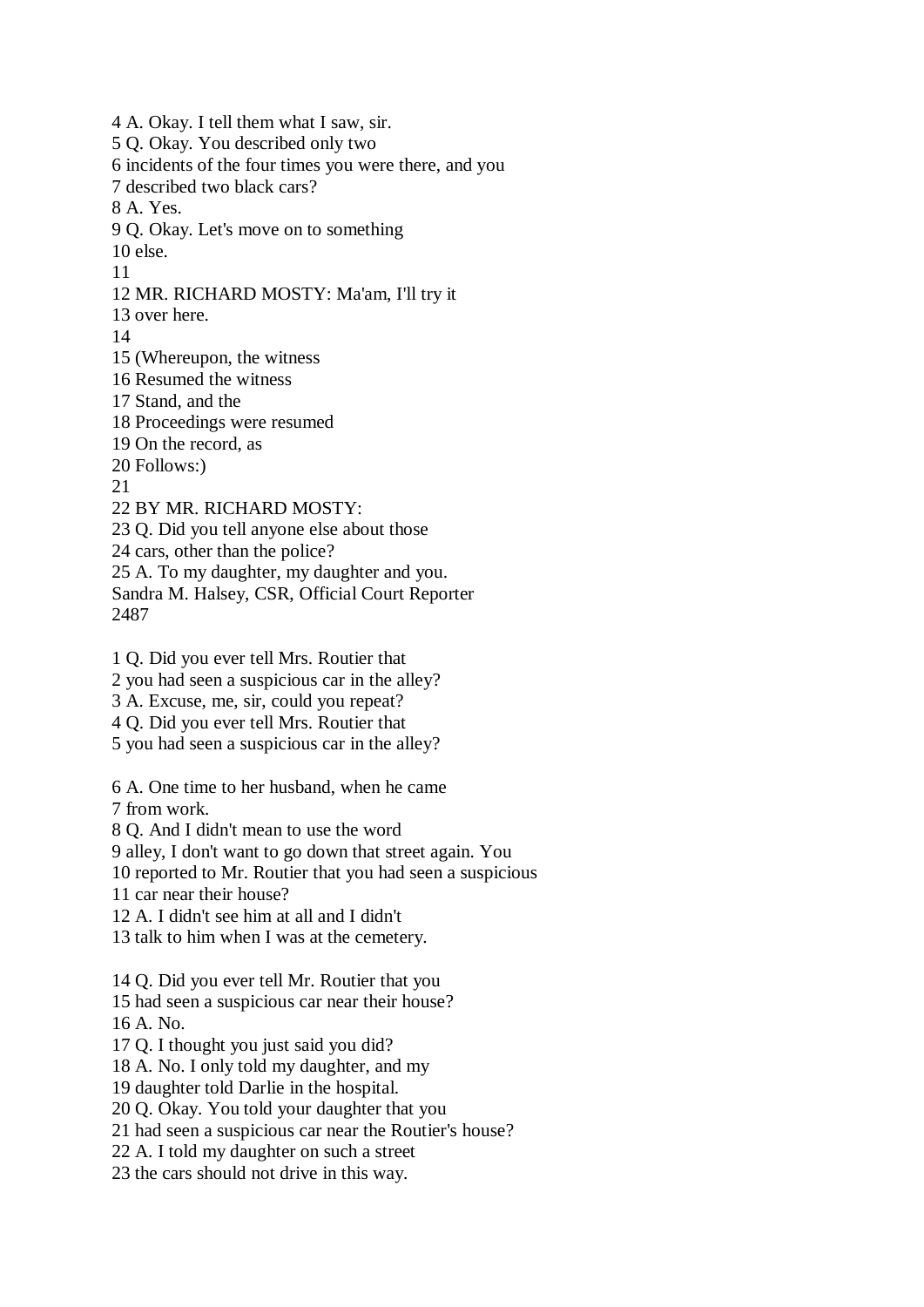4 A. Okay. I tell them what I saw, sir. 5 Q. Okay. You described only two 6 incidents of the four times you were there, and you 7 described two black cars? 8 A. Yes. 9 Q. Okay. Let's move on to something 10 else. 11 12 MR. RICHARD MOSTY: Ma'am, I'll try it 13 over here. 14 15 (Whereupon, the witness 16 Resumed the witness 17 Stand, and the 18 Proceedings were resumed 19 On the record, as 20 Follows:) 21 22 BY MR. RICHARD MOSTY: 23 Q. Did you tell anyone else about those 24 cars, other than the police? 25 A. To my daughter, my daughter and you. Sandra M. Halsey, CSR, Official Court Reporter 2487 1 Q. Did you ever tell Mrs. Routier that 2 you had seen a suspicious car in the alley? 3 A. Excuse, me, sir, could you repeat?

4 Q. Did you ever tell Mrs. Routier that

5 you had seen a suspicious car in the alley?

6 A. One time to her husband, when he came 7 from work.

8 Q. And I didn't mean to use the word

9 alley, I don't want to go down that street again. You

10 reported to Mr. Routier that you had seen a suspicious

11 car near their house?

12 A. I didn't see him at all and I didn't

13 talk to him when I was at the cemetery.

14 Q. Did you ever tell Mr. Routier that you

15 had seen a suspicious car near their house? 16 A. No.

17 Q. I thought you just said you did?

18 A. No. I only told my daughter, and my

19 daughter told Darlie in the hospital.

20 Q. Okay. You told your daughter that you

21 had seen a suspicious car near the Routier's house?

22 A. I told my daughter on such a street

23 the cars should not drive in this way.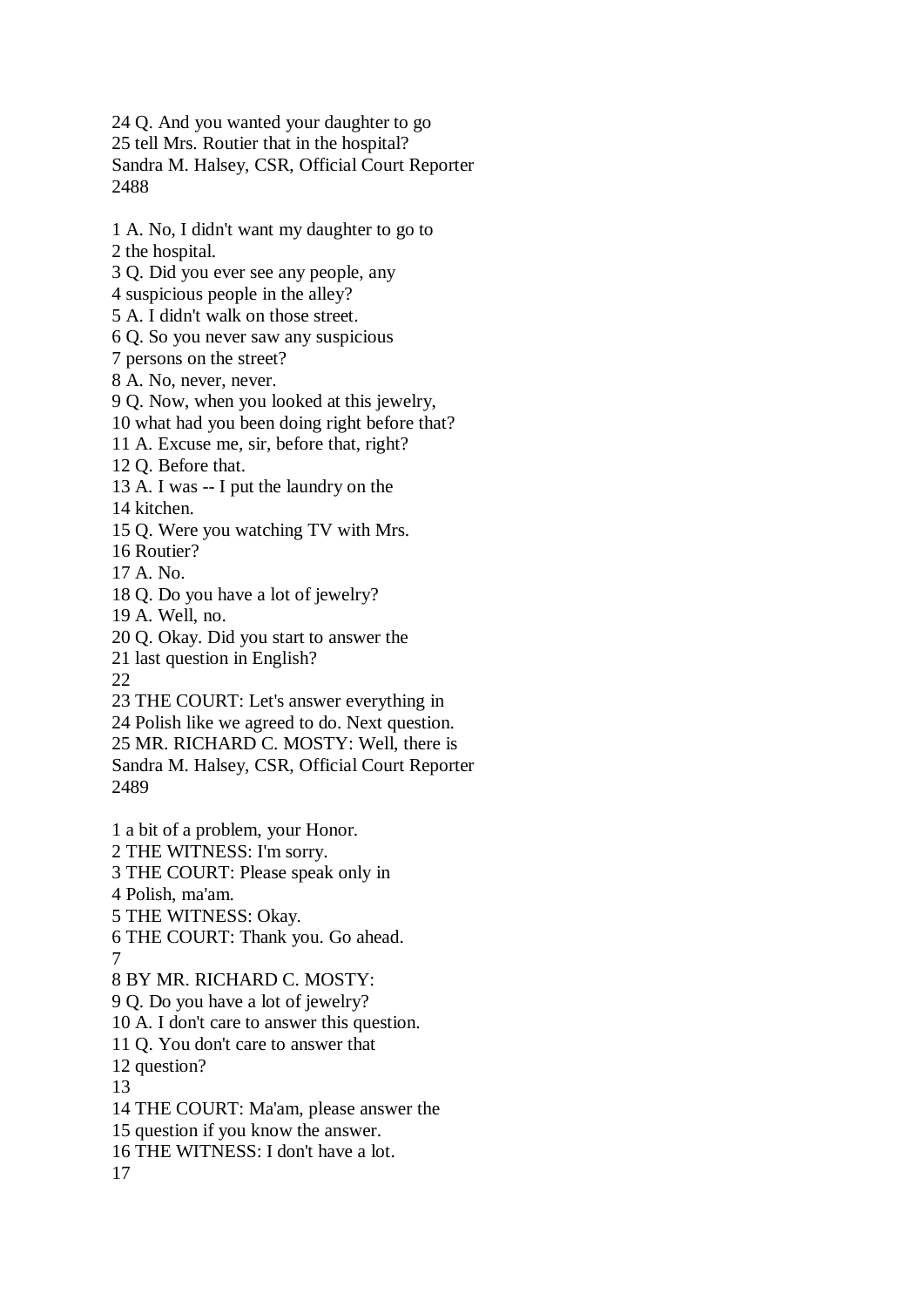24 Q. And you wanted your daughter to go 25 tell Mrs. Routier that in the hospital? Sandra M. Halsey, CSR, Official Court Reporter 2488

1 A. No, I didn't want my daughter to go to

2 the hospital.

3 Q. Did you ever see any people, any

4 suspicious people in the alley?

5 A. I didn't walk on those street.

6 Q. So you never saw any suspicious

7 persons on the street?

8 A. No, never, never.

9 Q. Now, when you looked at this jewelry,

10 what had you been doing right before that?

11 A. Excuse me, sir, before that, right?

12 Q. Before that.

13 A. I was -- I put the laundry on the

14 kitchen.

15 Q. Were you watching TV with Mrs.

16 Routier?

 $17 \text{ A}$ . No.

18 Q. Do you have a lot of jewelry?

19 A. Well, no.

20 Q. Okay. Did you start to answer the

21 last question in English?

22

23 THE COURT: Let's answer everything in

24 Polish like we agreed to do. Next question.

25 MR. RICHARD C. MOSTY: Well, there is Sandra M. Halsey, CSR, Official Court Reporter 2489

1 a bit of a problem, your Honor. 2 THE WITNESS: I'm sorry. 3 THE COURT: Please speak only in 4 Polish, ma'am. 5 THE WITNESS: Okay. 6 THE COURT: Thank you. Go ahead. 7

8 BY MR. RICHARD C. MOSTY:

9 Q. Do you have a lot of jewelry?

10 A. I don't care to answer this question.

11 Q. You don't care to answer that

12 question?

13

14 THE COURT: Ma'am, please answer the

15 question if you know the answer.

16 THE WITNESS: I don't have a lot.

17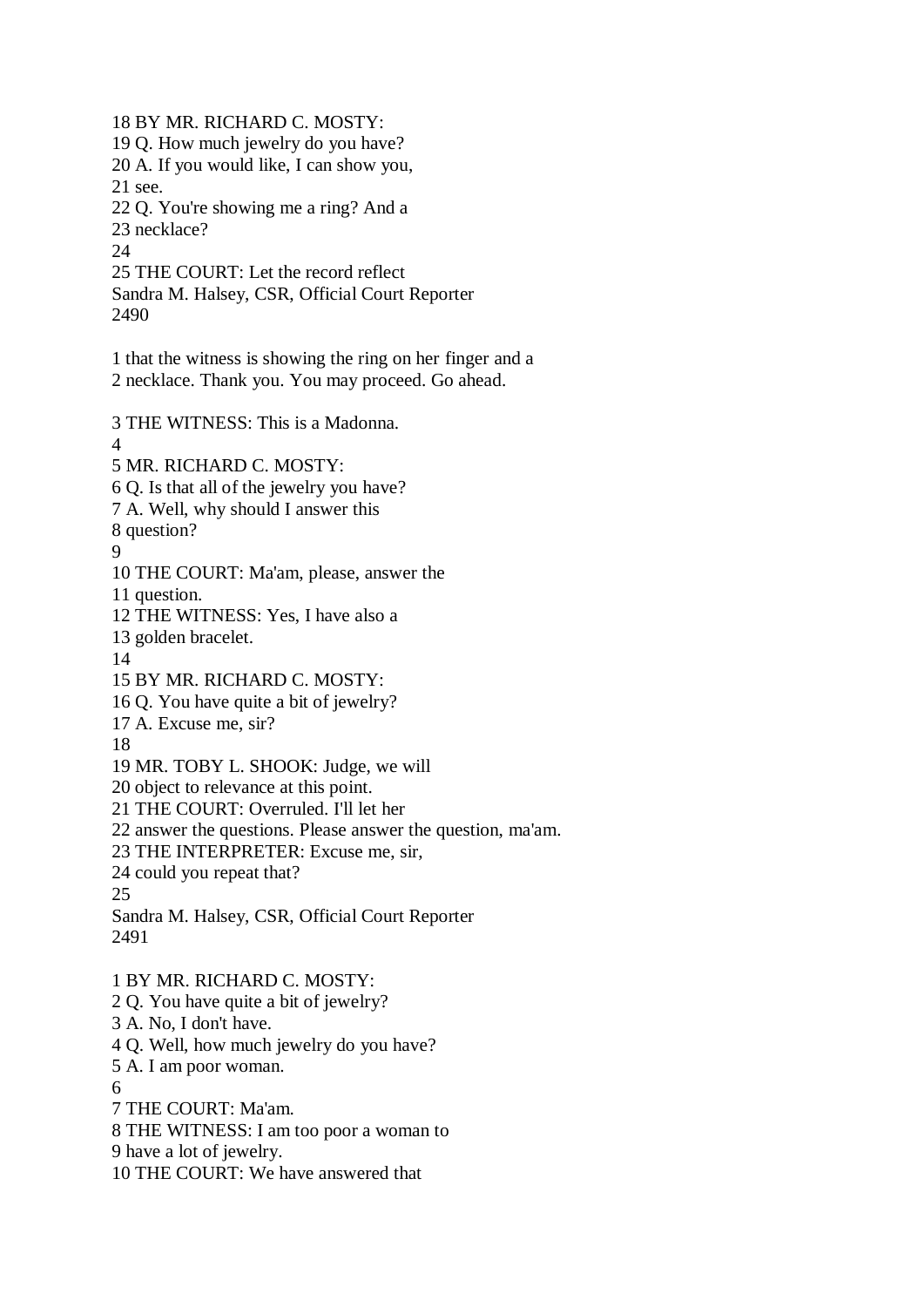18 BY MR. RICHARD C. MOSTY: 19 Q. How much jewelry do you have? 20 A. If you would like, I can show you, 21 see. 22 Q. You're showing me a ring? And a 23 necklace?  $24$ 25 THE COURT: Let the record reflect Sandra M. Halsey, CSR, Official Court Reporter 2490 1 that the witness is showing the ring on her finger and a 2 necklace. Thank you. You may proceed. Go ahead. 3 THE WITNESS: This is a Madonna. 4 5 MR. RICHARD C. MOSTY: 6 Q. Is that all of the jewelry you have? 7 A. Well, why should I answer this 8 question? 9 10 THE COURT: Ma'am, please, answer the 11 question. 12 THE WITNESS: Yes, I have also a 13 golden bracelet. 14 15 BY MR. RICHARD C. MOSTY: 16 Q. You have quite a bit of jewelry? 17 A. Excuse me, sir? 18 19 MR. TOBY L. SHOOK: Judge, we will 20 object to relevance at this point. 21 THE COURT: Overruled. I'll let her 22 answer the questions. Please answer the question, ma'am. 23 THE INTERPRETER: Excuse me, sir, 24 could you repeat that? 25 Sandra M. Halsey, CSR, Official Court Reporter 2491 1 BY MR. RICHARD C. MOSTY:

2 Q. You have quite a bit of jewelry? 3 A. No, I don't have. 4 Q. Well, how much jewelry do you have? 5 A. I am poor woman. 6 7 THE COURT: Ma'am. 8 THE WITNESS: I am too poor a woman to 9 have a lot of jewelry. 10 THE COURT: We have answered that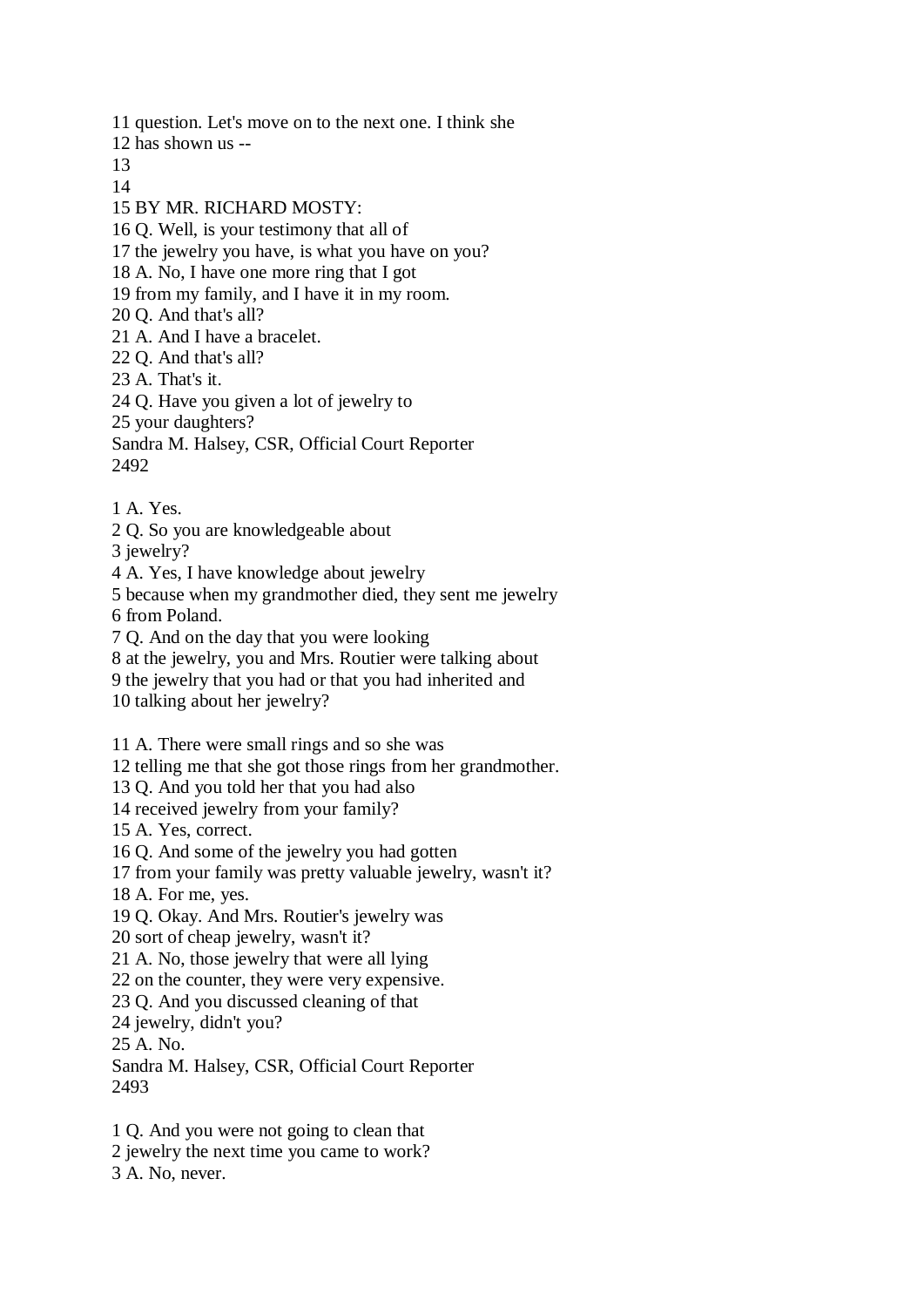11 question. Let's move on to the next one. I think she 12 has shown us -- 13 14 15 BY MR. RICHARD MOSTY: 16 Q. Well, is your testimony that all of 17 the jewelry you have, is what you have on you? 18 A. No, I have one more ring that I got 19 from my family, and I have it in my room. 20 Q. And that's all? 21 A. And I have a bracelet. 22 Q. And that's all? 23 A. That's it. 24 Q. Have you given a lot of jewelry to 25 your daughters? Sandra M. Halsey, CSR, Official Court Reporter 2492 1 A. Yes. 2 Q. So you are knowledgeable about 3 jewelry?

4 A. Yes, I have knowledge about jewelry

5 because when my grandmother died, they sent me jewelry 6 from Poland.

7 Q. And on the day that you were looking

8 at the jewelry, you and Mrs. Routier were talking about

9 the jewelry that you had or that you had inherited and

10 talking about her jewelry?

11 A. There were small rings and so she was

12 telling me that she got those rings from her grandmother.

13 Q. And you told her that you had also

14 received jewelry from your family?

15 A. Yes, correct.

16 Q. And some of the jewelry you had gotten

17 from your family was pretty valuable jewelry, wasn't it?

18 A. For me, yes.

19 Q. Okay. And Mrs. Routier's jewelry was

20 sort of cheap jewelry, wasn't it?

21 A. No, those jewelry that were all lying

22 on the counter, they were very expensive.

23 Q. And you discussed cleaning of that

24 jewelry, didn't you?

25 A. No.

Sandra M. Halsey, CSR, Official Court Reporter 2493

1 Q. And you were not going to clean that 2 jewelry the next time you came to work? 3 A. No, never.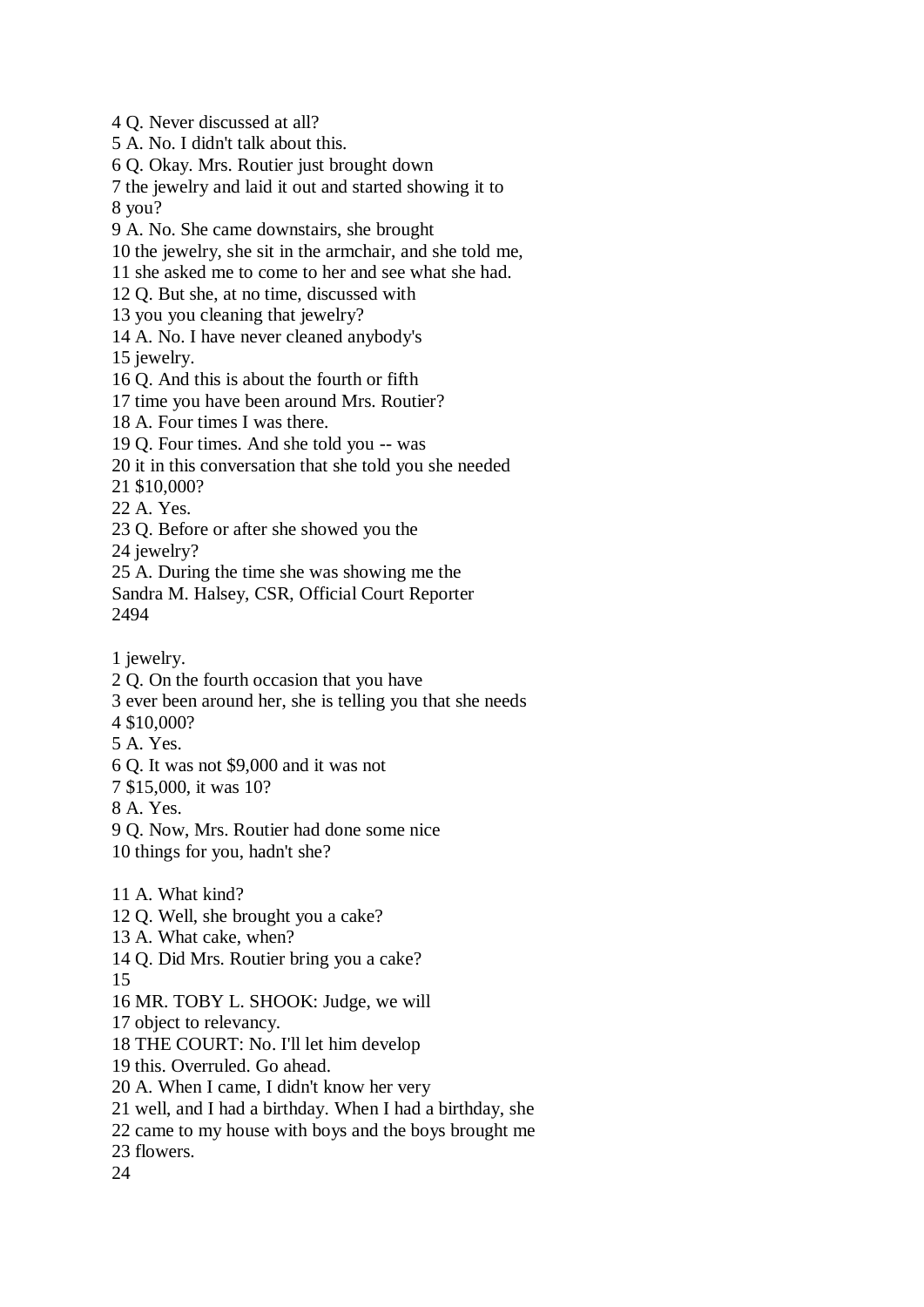4 Q. Never discussed at all? 5 A. No. I didn't talk about this. 6 Q. Okay. Mrs. Routier just brought down 7 the jewelry and laid it out and started showing it to 8 you? 9 A. No. She came downstairs, she brought 10 the jewelry, she sit in the armchair, and she told me, 11 she asked me to come to her and see what she had. 12 Q. But she, at no time, discussed with 13 you you cleaning that jewelry? 14 A. No. I have never cleaned anybody's 15 jewelry. 16 Q. And this is about the fourth or fifth 17 time you have been around Mrs. Routier? 18 A. Four times I was there. 19 Q. Four times. And she told you -- was 20 it in this conversation that she told you she needed 21 \$10,000? 22 A. Yes. 23 Q. Before or after she showed you the 24 jewelry? 25 A. During the time she was showing me the Sandra M. Halsey, CSR, Official Court Reporter 2494 1 jewelry. 2 Q. On the fourth occasion that you have 3 ever been around her, she is telling you that she needs 4 \$10,000? 5 A. Yes. 6 Q. It was not \$9,000 and it was not 7 \$15,000, it was 10? 8 A. Yes. 9 Q. Now, Mrs. Routier had done some nice 10 things for you, hadn't she? 11 A. What kind? 12 Q. Well, she brought you a cake? 13 A. What cake, when? 14 Q. Did Mrs. Routier bring you a cake? 15 16 MR. TOBY L. SHOOK: Judge, we will 17 object to relevancy. 18 THE COURT: No. I'll let him develop

- 19 this. Overruled. Go ahead.
- 20 A. When I came, I didn't know her very
- 21 well, and I had a birthday. When I had a birthday, she
- 22 came to my house with boys and the boys brought me
- 23 flowers.
- 24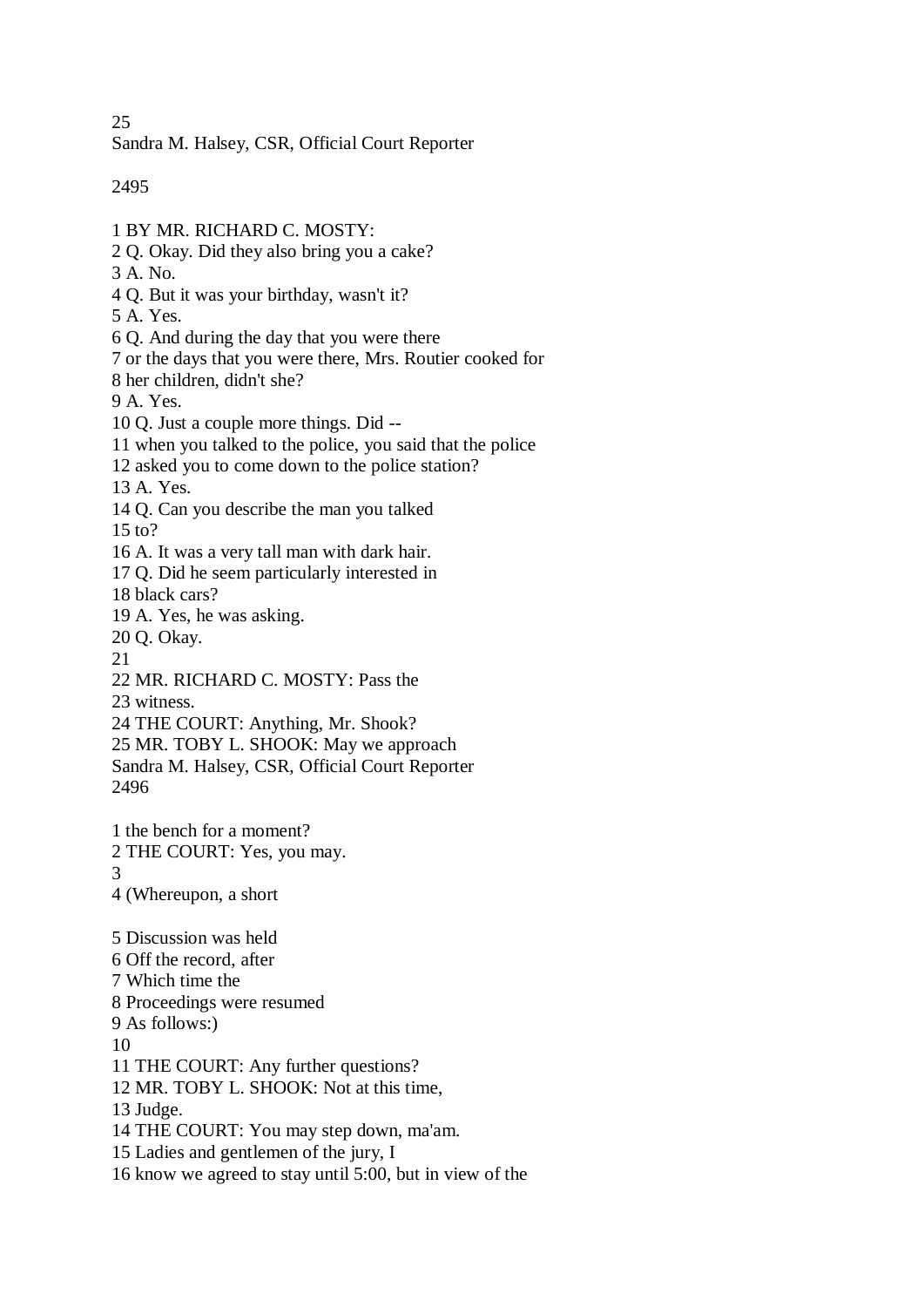25

Sandra M. Halsey, CSR, Official Court Reporter

2495

- 1 BY MR. RICHARD C. MOSTY:
- 2 Q. Okay. Did they also bring you a cake?
- 3 A. No.
- 4 Q. But it was your birthday, wasn't it?
- 5 A. Yes.
- 6 Q. And during the day that you were there
- 7 or the days that you were there, Mrs. Routier cooked for
- 8 her children, didn't she?

9 A. Yes.

- 10 Q. Just a couple more things. Did --
- 11 when you talked to the police, you said that the police
- 12 asked you to come down to the police station?
- 13 A. Yes.
- 14 Q. Can you describe the man you talked
- 15 to?
- 16 A. It was a very tall man with dark hair.
- 17 Q. Did he seem particularly interested in
- 18 black cars?
- 19 A. Yes, he was asking.
- 20 Q. Okay.
- 21
- 22 MR. RICHARD C. MOSTY: Pass the
- 23 witness.
- 24 THE COURT: Anything, Mr. Shook?
- 25 MR. TOBY L. SHOOK: May we approach Sandra M. Halsey, CSR, Official Court Reporter
- 2496
- 1 the bench for a moment? 2 THE COURT: Yes, you may. 3 4 (Whereupon, a short
- 5 Discussion was held 6 Off the record, after 7 Which time the 8 Proceedings were resumed 9 As follows:) 10 11 THE COURT: Any further questions? 12 MR. TOBY L. SHOOK: Not at this time, 13 Judge. 14 THE COURT: You may step down, ma'am. 15 Ladies and gentlemen of the jury, I
- 16 know we agreed to stay until 5:00, but in view of the